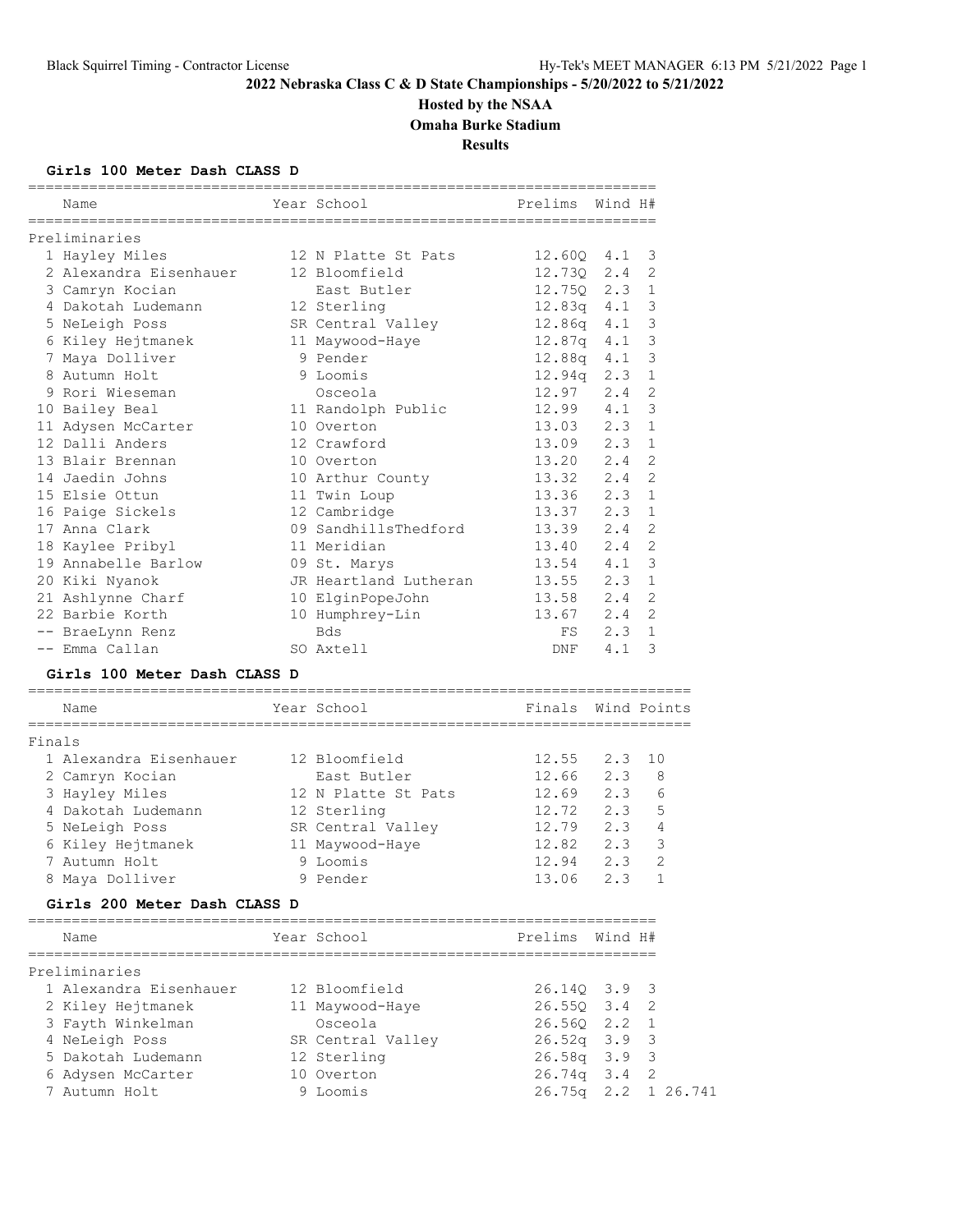# **Hosted by the NSAA**

**Omaha Burke Stadium**

**Results**

#### **Girls 100 Meter Dash CLASS D**

| Name                                 | Year School           | Prelims Wind H# |     |                |
|--------------------------------------|-----------------------|-----------------|-----|----------------|
| Preliminaries                        |                       |                 |     |                |
| 1 Hayley Miles                       | 12 N Platte St Pats   | 12.600 4.1      |     | -3             |
| 2 Alexandra Eisenhauer 12 Bloomfield |                       | 12.730 2.4      |     | 2              |
| 3 Camryn Kocian                      | East Butler           | $12.75Q$ $2.3$  |     | $\mathbf{1}$   |
| 4 Dakotah Ludemann                   | 12 Sterling           | 12.83a   4.1    |     | 3              |
| 5 NeLeigh Poss                       | SR Central Valley     | 12.86g 4.1      |     | 3              |
| 6 Kiley Hejtmanek 11 Maywood-Haye    |                       | 12.87g   4.1    |     | 3              |
| 7 Maya Dolliver                      | 9 Pender              | 12.88g 4.1      |     | 3              |
| 8 Autumn Holt                        | 9 Loomis              | $12.94q$ $2.3$  |     | $\mathbf{1}$   |
| 9 Rori Wieseman                      | Osceola               | 12.97           | 2.4 | 2              |
| 10 Bailey Beal                       | 11 Randolph Public    | 12.99 4.1       |     | 3              |
| 11 Adysen McCarter                   | 10 Overton            | 13.03 2.3       |     | $\mathbf{1}$   |
| 12 Dalli Anders                      | 12 Crawford           | 13.09 2.3       |     | $\mathbf{1}$   |
| 13 Blair Brennan                     | 10 Overton            | $13.20$ $2.4$   |     | 2              |
| 14 Jaedin Johns                      | 10 Arthur County      | 13.32 2.4       |     | $\overline{2}$ |
| 15 Elsie Ottun                       | 11 Twin Loup          | 13.36 2.3       |     | $\mathbf{1}$   |
| 16 Paige Sickels                     | 12 Cambridge          | 13.37 2.3       |     | $\mathbf 1$    |
| 17 Anna Clark                        | 09 SandhillsThedford  | $13.39$ $2.4$   |     | $\overline{2}$ |
| 18 Kaylee Pribyl                     | 11 Meridian           | 13.40 2.4       |     | $\overline{2}$ |
| 19 Annabelle Barlow                  | 09 St. Marys          | 13.54 4.1       |     | 3              |
| 20 Kiki Nyanok                       | JR Heartland Lutheran | $13.55$ $2.3$   |     | $\mathbf{1}$   |
| 21 Ashlynne Charf                    | 10 ElginPopeJohn      | 13.58 2.4       |     | $\overline{c}$ |
| 22 Barbie Korth                      | 10 Humphrey-Lin       | 13.67 2.4       |     | $\overline{2}$ |
| -- BraeLynn Renz                     | <b>Bds</b>            | FS              | 2.3 | $\mathbf{1}$   |
| -- Emma Callan                       | SO Axtell             | DNF             | 4.1 | 3              |
| Girls 100 Meter Dash CLASS D         |                       |                 |     |                |
|                                      |                       |                 |     |                |

## Name The Year School The Finals Wind Points ============================================================================ Finals 1 Alexandra Eisenhauer 12 Bloomfield 12.55 2.3 10 2 Camryn Kocian East Butler 12.66 2.3 8 3 Hayley Miles 12 N Platte St Pats 12.69 2.3 6 4 Dakotah Ludemann 12 Sterling 12.72 2.3 5 5 NeLeigh Poss SR Central Valley 12.79 2.3 4 6 Kiley Hejtmanek 11 Maywood-Haye 12.82 2.3 3 7 Autumn Holt 9 Loomis 12.94 2.3 2 8 Maya Dolliver 9 Pender 13.06 2.3 1

### **Girls 200 Meter Dash CLASS D**

| Name                   | Year School       | Prelims Wind H#            |                     |
|------------------------|-------------------|----------------------------|---------------------|
| Preliminaries          |                   |                            |                     |
| 1 Alexandra Eisenhauer | 12 Bloomfield     | 26.140 3.9 3               |                     |
| 2 Kiley Hejtmanek      | 11 Maywood-Haye   | $26.550 \quad 3.4 \quad 2$ |                     |
| 3 Fayth Winkelman      | Osceola           | 26.560 2.2 1               |                     |
| 4 NeLeigh Poss         | SR Central Valley | $26.52q$ 3.9 3             |                     |
| 5 Dakotah Ludemann     | 12 Sterling       | $26.58q$ 3.9 3             |                     |
| 6 Adysen McCarter      | 10 Overton        | $26.74q$ 3.4 2             |                     |
| 7 Autumn Holt          | 9 Loomis          |                            | 26.75q 2.2 1 26.741 |
|                        |                   |                            |                     |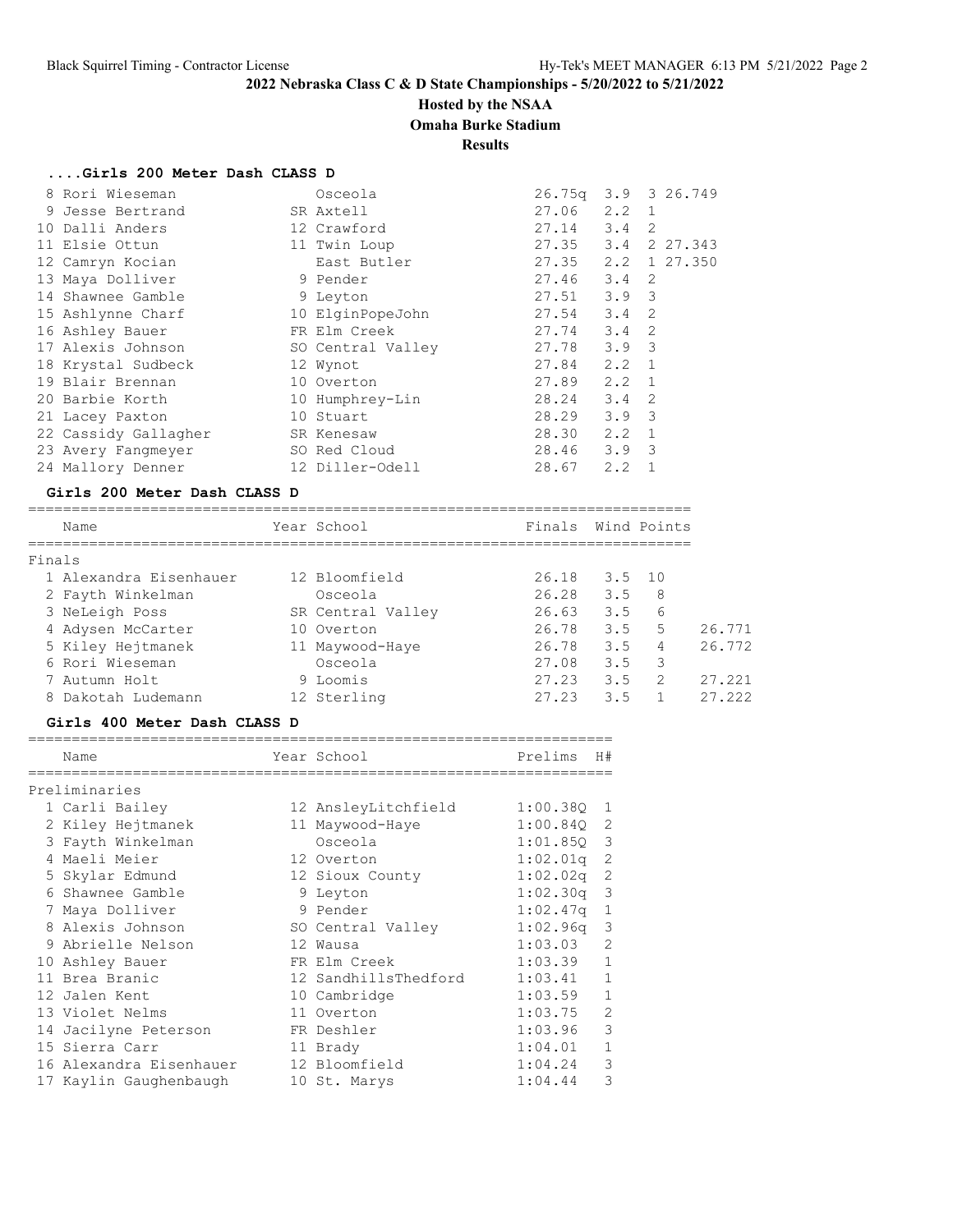## **Hosted by the NSAA**

**Omaha Burke Stadium**

**Results**

## **....Girls 200 Meter Dash CLASS D**

| 8 Rori Wieseman      | Osceola           | 26.75q |                  | 3.9 3 26.749 |
|----------------------|-------------------|--------|------------------|--------------|
| 9 Jesse Bertrand     | SR Axtell         | 27.06  | $2.2 \quad 1$    |              |
| 10 Dalli Anders      | 12 Crawford       | 27.14  | $3.4 \quad 2$    |              |
| 11 Elsie Ottun       | 11 Twin Loup      | 27.35  |                  | 3.4 2 27.343 |
| 12 Camryn Kocian     | East Butler       | 27.35  |                  | 2.2 1 27.350 |
| 13 Maya Dolliver     | 9 Pender          | 27.46  | $3.4 \quad 2$    |              |
| 14 Shawnee Gamble    | 9 Leyton          | 27.51  | 3.9 <sup>3</sup> |              |
| 15 Ashlynne Charf    | 10 ElginPopeJohn  | 27.54  | $3.4 \quad 2$    |              |
| 16 Ashley Bauer      | FR Elm Creek      | 27.74  | $3.4 \quad 2$    |              |
| 17 Alexis Johnson    | SO Central Valley | 27.78  | $3.9 \quad 3$    |              |
| 18 Krystal Sudbeck   | 12 Wynot          | 27.84  | $2, 2 \quad 1$   |              |
| 19 Blair Brennan     | 10 Overton        | 27.89  | $2.2 \quad 1$    |              |
| 20 Barbie Korth      | 10 Humphrey-Lin   | 28.24  | $3.4 \quad 2$    |              |
| 21 Lacey Paxton      | 10 Stuart         | 28.29  | $3.9 \quad 3$    |              |
| 22 Cassidy Gallagher | SR Kenesaw        | 28.30  | $2.2 \quad 1$    |              |
| 23 Avery Fangmeyer   | SO Red Cloud      | 28.46  | $3.9 \quad 3$    |              |
| 24 Mallory Denner    | 12 Diller-Odell   | 28.67  | 2.2              |              |
|                      |                   |        |                  |              |

#### **Girls 200 Meter Dash CLASS D**

============================================================================

| Name   |                        | Year School       | Finals |        | Wind Points |        |
|--------|------------------------|-------------------|--------|--------|-------------|--------|
| Finals |                        |                   |        |        |             |        |
|        | 1 Alexandra Eisenhauer | 12 Bloomfield     | 26.18  | 3.5 10 |             |        |
|        | 2 Fayth Winkelman      | Osceola           | 26.28  | 3.5    | 8           |        |
|        | 3 NeLeigh Poss         | SR Central Valley | 26.63  | 3.5    | 6           |        |
|        | 4 Adysen McCarter      | 10 Overton        | 26.78  | 3.5    | .5          | 26.771 |
|        | 5 Kiley Hejtmanek      | 11 Maywood-Haye   | 26.78  | 3.5    | 4           | 26.772 |
|        | 6 Rori Wieseman        | Osceola           | 27.08  | 3.5    | -3          |        |
|        | 7 Autumn Holt          | 9 Loomis          | 27.23  | 3.5    | 2           | 27.221 |
|        | 8 Dakotah Ludemann     | 12 Sterling       | 27.23  | 3.5    |             | 27.222 |

#### **Girls 400 Meter Dash CLASS D**

| Name                    | Year School          | Prelims  | H#             |
|-------------------------|----------------------|----------|----------------|
|                         |                      |          |                |
| Preliminaries           |                      |          |                |
| 1 Carli Bailey          | 12 AnsleyLitchfield  | 1:00.380 | 1              |
| 2 Kiley Hejtmanek       | 11 Maywood-Haye      | 1:00.84Q | 2              |
| 3 Fayth Winkelman       | Osceola              | 1:01.850 | 3              |
| 4 Maeli Meier           | 12 Overton           | 1:02.01q | 2              |
| 5 Skylar Edmund         | 12 Sioux County      | 1:02.02q | 2              |
| 6 Shawnee Gamble        | 9 Leyton             | 1:02.30q | 3              |
| 7 Maya Dolliver         | 9 Pender             | 1:02.47q | 1              |
| 8 Alexis Johnson        | SO Central Valley    | 1:02.96q | 3              |
| 9 Abrielle Nelson       | 12 Wausa             | 1:03.03  | $\mathfrak{D}$ |
| 10 Ashley Bauer         | FR Elm Creek         | 1:03.39  | $\mathbf{1}$   |
| 11 Brea Branic          | 12 SandhillsThedford | 1:03.41  | $\mathbf{1}$   |
| 12 Jalen Kent           | 10 Cambridge         | 1:03.59  | $\mathbf{1}$   |
| 13 Violet Nelms         | 11 Overton           | 1:03.75  | $\mathfrak{D}$ |
| 14 Jacilyne Peterson    | FR Deshler           | 1:03.96  | 3              |
| 15 Sierra Carr          | 11 Brady             | 1:04.01  | $\mathbf{1}$   |
| 16 Alexandra Eisenhauer | 12 Bloomfield        | 1:04.24  | 3              |
| 17 Kaylin Gaughenbaugh  | 10 St. Marys         | 1:04.44  | 3              |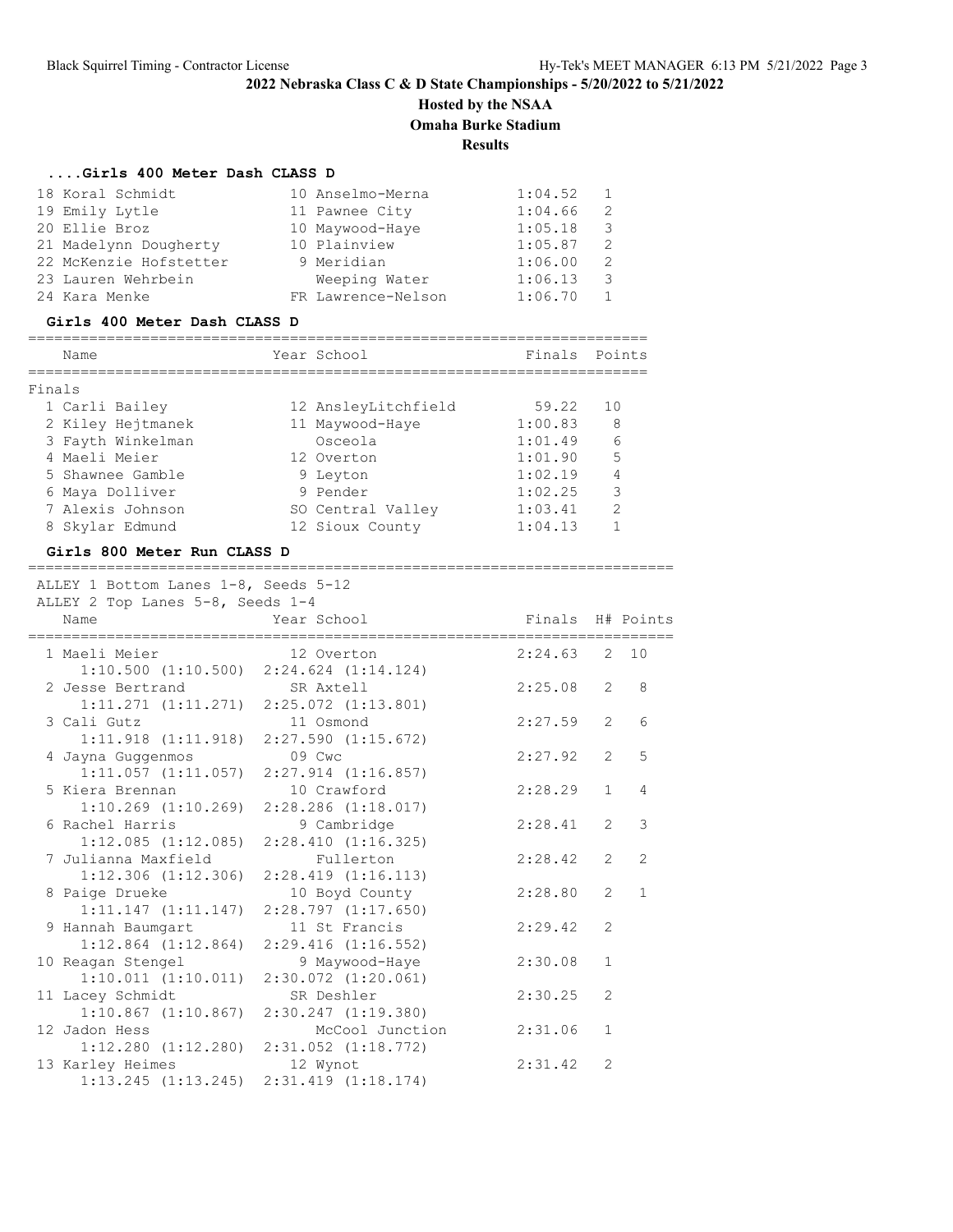# **Hosted by the NSAA**

**Omaha Burke Stadium**

**Results**

| Girls 400 Meter Dash CLASS D |  |  |  |  |  |  |
|------------------------------|--|--|--|--|--|--|
|------------------------------|--|--|--|--|--|--|

| Name                         | Year School        | Finals  | Points                  |
|------------------------------|--------------------|---------|-------------------------|
| Girls 400 Meter Dash CLASS D |                    |         |                         |
| 24 Kara Menke                | FR Lawrence-Nelson | 1:06.70 | 1                       |
| 23 Lauren Wehrbein           | Weeping Water      | 1:06.13 | $\overline{\mathbf{3}}$ |
| 22 McKenzie Hofstetter       | 9 Meridian         | 1:06.00 | 2                       |
| 21 Madelynn Dougherty        | 10 Plainview       | 1:05.87 | 2                       |
| 20 Ellie Broz                | 10 Maywood-Haye    | 1:05.18 | $\overline{\mathbf{3}}$ |
| 19 Emily Lytle               | 11 Pawnee City     | 1:04.66 | 2                       |
| 18 Koral Schmidt             | 10 Anselmo-Merna   | 1:04.52 |                         |

| Finals |                   |                     |         |               |
|--------|-------------------|---------------------|---------|---------------|
|        | 1 Carli Bailey    | 12 AnsleyLitchfield | 59.22   | 10            |
|        | 2 Kiley Hejtmanek | 11 Maywood-Haye     | 1:00.83 | 8             |
|        | 3 Fayth Winkelman | Osceola             | 1:01.49 | 6             |
|        | 4 Maeli Meier     | 12 Overton          | 1:01.90 | 5             |
|        | 5 Shawnee Gamble  | 9 Leyton            | 1:02.19 | 4             |
|        | 6 Maya Dolliver   | 9 Pender            | 1:02.25 | 3             |
|        | 7 Alexis Johnson  | SO Central Valley   | 1:03.41 | $\mathcal{L}$ |
|        | 8 Skylar Edmund   | 12 Sioux County     | 1:04.13 |               |

### **Girls 800 Meter Run CLASS D**

==========================================================================

ALLEY 1 Bottom Lanes 1-8, Seeds 5-12

| ALLEY 2 Top Lanes 5-8, Seeds 1-4<br>Name | Year School                                     | Finals H# Points |                |                |
|------------------------------------------|-------------------------------------------------|------------------|----------------|----------------|
|                                          |                                                 |                  |                |                |
| 1 Maeli Meier                            | 12 Overton                                      | $2:24.63$ 2 10   |                |                |
|                                          | $1:10.500$ $(1:10.500)$ $2:24.624$ $(1:14.124)$ |                  |                |                |
| 2 Jesse Bertrand SR Axtell               |                                                 | 2:25.08          | 2              | 8              |
|                                          | $1:11.271$ $(1:11.271)$ $2:25.072$ $(1:13.801)$ |                  |                |                |
| 3 Cali Gutz                              | 11 Osmond                                       | 2:27.59          | 2              | 6              |
|                                          | $1:11.918$ $(1:11.918)$ $2:27.590$ $(1:15.672)$ |                  |                |                |
| 4 Jayna Guggenmos 09 Cwc                 |                                                 | 2:27.92          | $\overline{2}$ | 5              |
|                                          | $1:11.057$ $(1:11.057)$ $2:27.914$ $(1:16.857)$ |                  |                |                |
| 5 Kiera Brennan                          | 10 Crawford                                     | 2:28.29          | $\mathbf{1}$   | $\overline{4}$ |
|                                          | $1:10.269$ $(1:10.269)$ $2:28.286$ $(1:18.017)$ |                  |                |                |
| 6 Rachel Harris                          | 9 Cambridge                                     | 2:28.41          | $\overline{2}$ | 3              |
|                                          | $1:12.085$ $(1:12.085)$ $2:28.410$ $(1:16.325)$ |                  |                |                |
| 7 Julianna Maxfield                      | Fullerton                                       | 2:28.42          | $\overline{2}$ | $\overline{2}$ |
|                                          | $1:12.306$ $(1:12.306)$ $2:28.419$ $(1:16.113)$ |                  |                |                |
| 8 Paige Drueke                           | 10 Boyd County                                  | 2:28.80          | 2              | $\overline{1}$ |
|                                          | $1:11.147$ $(1:11.147)$ $2:28.797$ $(1:17.650)$ |                  |                |                |
| 9 Hannah Baumqart                        | 11 St Francis                                   | 2:29.42          | $\overline{2}$ |                |
|                                          | $1:12.864$ $(1:12.864)$ $2:29.416$ $(1:16.552)$ |                  |                |                |
| 10 Reagan Stengel                        | 9 Maywood-Haye                                  | 2:30.08          | $\mathbf{1}$   |                |
|                                          | $1:10.011$ $(1:10.011)$ $2:30.072$ $(1:20.061)$ |                  |                |                |
| 11 Lacey Schmidt                         | SR Deshler                                      | 2:30.25          | $\overline{2}$ |                |
|                                          | $1:10.867$ $(1:10.867)$ $2:30.247$ $(1:19.380)$ |                  |                |                |
| 12 Jadon Hess                            | McCool Junction                                 | 2:31.06          | $\mathbf{1}$   |                |
|                                          | $1:12.280$ $(1:12.280)$ $2:31.052$ $(1:18.772)$ |                  |                |                |
| 13 Karley Heimes                         | 12 Wynot                                        | 2:31.42          | $\mathfrak{D}$ |                |
|                                          | $1:13.245$ $(1:13.245)$ $2:31.419$ $(1:18.174)$ |                  |                |                |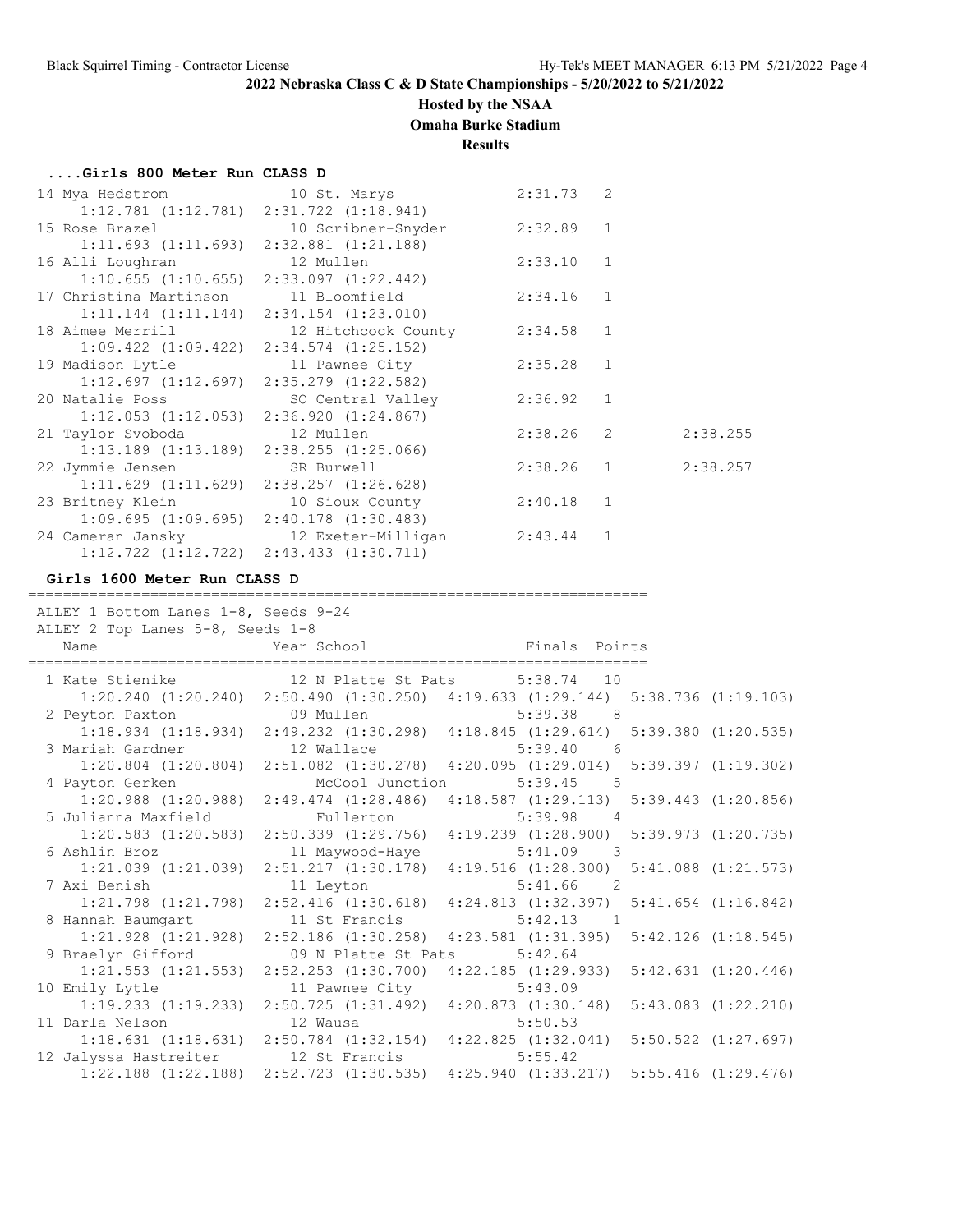#### **Hosted by the NSAA**

**Omaha Burke Stadium**

**Results**

#### **....Girls 800 Meter Run CLASS D**

| 14 Mya Hedstrom 10 St. Marys                    |                                                      | 2:31.73 2   |   |          |
|-------------------------------------------------|------------------------------------------------------|-------------|---|----------|
| $1:12.781$ $(1:12.781)$ $2:31.722$ $(1:18.941)$ |                                                      |             |   |          |
|                                                 | 15 Rose Brazel 10 Scribner-Snyder 2:32.89 1          |             |   |          |
| $1:11.693$ $(1:11.693)$ $2:32.881$ $(1:21.188)$ |                                                      |             |   |          |
|                                                 | 16 Alli Loughran                           12 Mullen | 2:33.10 1   |   |          |
|                                                 | $1:10.655$ $(1:10.655)$ $2:33.097$ $(1:22.442)$      |             |   |          |
| 17 Christina Martinson 11 Bloomfield            |                                                      | $2:34.16$ 1 |   |          |
| $1:11.144$ $(1:11.144)$ $2:34.154$ $(1:23.010)$ |                                                      |             |   |          |
|                                                 | 18 Aimee Merrill 12 Hitchcock County 2:34.58 1       |             |   |          |
| $1:09.422$ $(1:09.422)$ $2:34.574$ $(1:25.152)$ |                                                      |             |   |          |
|                                                 | 19 Madison Lytle 11 Pawnee City                      | $2:35.28$ 1 |   |          |
|                                                 | $1:12.697$ $(1:12.697)$ $2:35.279$ $(1:22.582)$      |             |   |          |
|                                                 | 20 Natalie Poss SO Central Valley                    | 2:36.92 1   |   |          |
|                                                 | $1:12.053$ $(1:12.053)$ $2:36.920$ $(1:24.867)$      |             |   |          |
|                                                 |                                                      | $2:38.26$ 2 |   | 2:38.255 |
| $1:13.189$ $(1:13.189)$ $2:38.255$ $(1:25.066)$ |                                                      |             |   |          |
| 22 Jymmie Jensen                                | SR Burwell                                           | $2:38.26$ 1 |   | 2:38.257 |
| $1:11.629$ $(1:11.629)$ $2:38.257$ $(1:26.628)$ |                                                      |             |   |          |
|                                                 | 23 Britney Klein 10 Sioux County                     | $2:40.18$ 1 |   |          |
|                                                 | $1:09.695$ $(1:09.695)$ $2:40.178$ $(1:30.483)$      |             |   |          |
|                                                 | 24 Cameran Jansky 12 Exeter-Milligan 2:43.44         |             | 1 |          |
| $1:12.722$ $(1:12.722)$ $2:43.433$ $(1:30.711)$ |                                                      |             |   |          |

#### **Girls 1600 Meter Run CLASS D**

======================================================================= ALLEY 1 Bottom Lanes 1-8, Seeds 9-24 ALLEY 2 Top Lanes 5-8, Seeds 1-8 Name Year School Finals Points ======================================================================= 1 Kate Stienike 12 N Platte St Pats 5:38.74 10 1:20.240 (1:20.240) 2:50.490 (1:30.250) 4:19.633 (1:29.144) 5:38.736 (1:19.103) 2 Peyton Paxton 09 Mullen 5:39.38 8 1:18.934 (1:18.934) 2:49.232 (1:30.298) 4:18.845 (1:29.614) 5:39.380 (1:20.535) 3 Mariah Gardner 12 Wallace 5:39.40 6 1:20.804 (1:20.804) 2:51.082 (1:30.278) 4:20.095 (1:29.014) 5:39.397 (1:19.302) 4 Payton Gerken McCool Junction 5:39.45 5 1:20.988 (1:20.988) 2:49.474 (1:28.486) 4:18.587 (1:29.113) 5:39.443 (1:20.856) 5 Julianna Maxfield Fullerton 5:39.98 4 1:20.583 (1:20.583) 2:50.339 (1:29.756) 4:19.239 (1:28.900) 5:39.973 (1:20.735) 6 Ashlin Broz 11 Maywood-Haye 5:41.09 3 1:21.039 (1:21.039) 2:51.217 (1:30.178) 4:19.516 (1:28.300) 5:41.088 (1:21.573) 7 Axi Benish 11 Leyton 5:41.66 2 1:21.798 (1:21.798) 2:52.416 (1:30.618) 4:24.813 (1:32.397) 5:41.654 (1:16.842) 8 Hannah Baumgart 11 St Francis 5:42.13 1 1:21.928 (1:21.928) 2:52.186 (1:30.258) 4:23.581 (1:31.395) 5:42.126 (1:18.545) 9 Braelyn Gifford 09 N Platte St Pats 5:42.64 1:21.553 (1:21.553) 2:52.253 (1:30.700) 4:22.185 (1:29.933) 5:42.631 (1:20.446) 10 Emily Lytle 11 Pawnee City 5:43.09 1:19.233 (1:19.233) 2:50.725 (1:31.492) 4:20.873 (1:30.148) 5:43.083 (1:22.210) 11 Darla Nelson 12 Wausa 5:50.53 1:18.631 (1:18.631) 2:50.784 (1:32.154) 4:22.825 (1:32.041) 5:50.522 (1:27.697) 12 Jalyssa Hastreiter 12 St Francis 5:55.42 1:22.188 (1:22.188) 2:52.723 (1:30.535) 4:25.940 (1:33.217) 5:55.416 (1:29.476)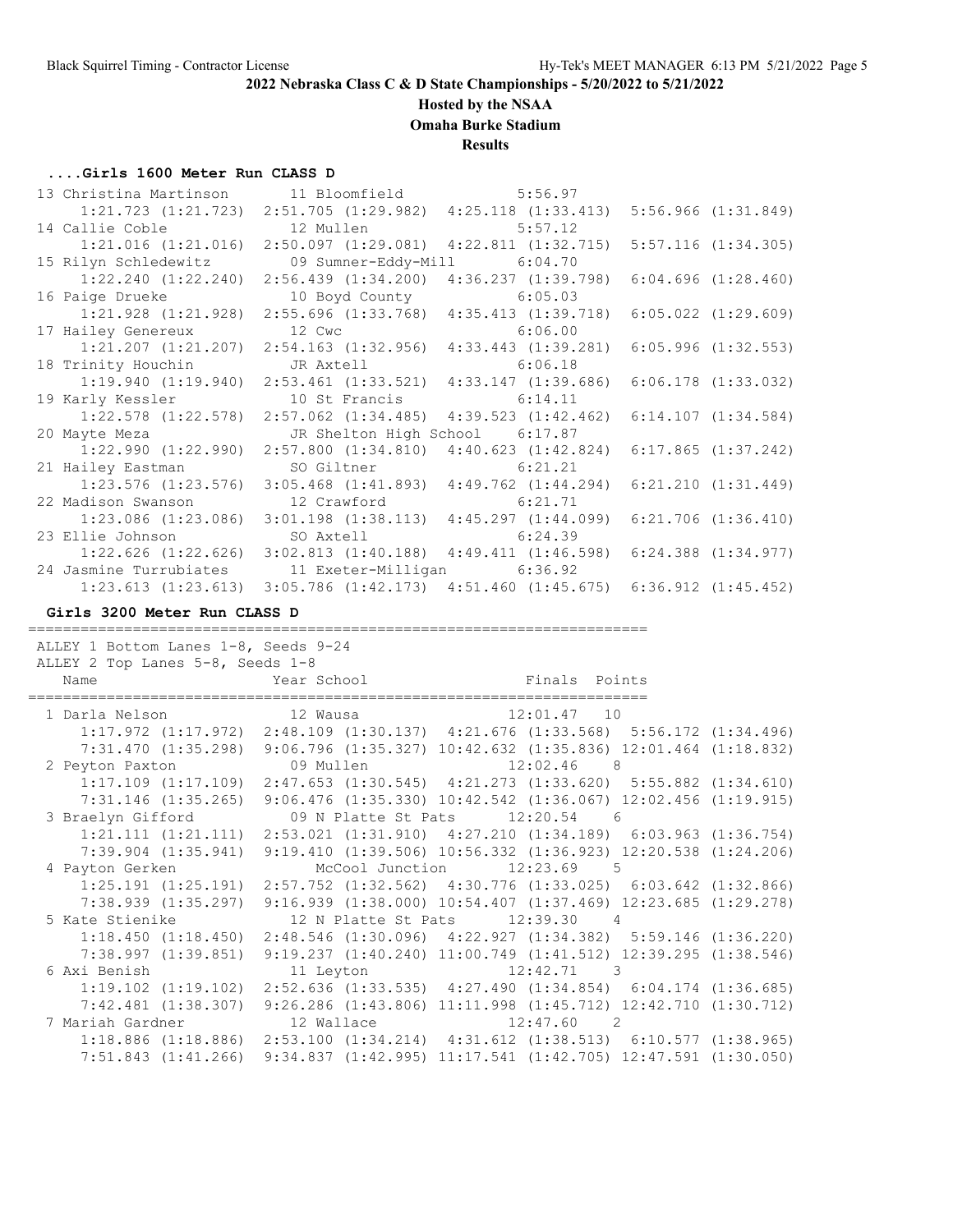#### **Hosted by the NSAA**

**Omaha Burke Stadium**

#### **Results**

#### **....Girls 1600 Meter Run CLASS D**

| 13 Christina Martinson 11 Bloomfield 5:56.97 |                                                                         |                                                                                 |                         |
|----------------------------------------------|-------------------------------------------------------------------------|---------------------------------------------------------------------------------|-------------------------|
|                                              |                                                                         | $1:21.723$ $(1:21.723)$ $2:51.705$ $(1:29.982)$ $4:25.118$ $(1:33.413)$         | $5:56.966$ $(1:31.849)$ |
| 14 Callie Coble 12 Mullen 5:57.12            |                                                                         |                                                                                 |                         |
| $1:21.016$ $(1:21.016)$                      |                                                                         | $2:50.097$ $(1:29.081)$ $4:22.811$ $(1:32.715)$                                 | $5:57.116$ $(1:34.305)$ |
| 15 Rilyn Schledewitz                         | 09 Sumner-Eddy-Mill 6:04.70                                             |                                                                                 |                         |
|                                              | $1:22.240$ $(1:22.240)$ $2:56.439$ $(1:34.200)$ $4:36.237$ $(1:39.798)$ |                                                                                 | 6:04.696(1:28.460)      |
| 16 Paige Drueke                              | 10 Boyd County 6:05.03                                                  |                                                                                 |                         |
|                                              |                                                                         | $1:21.928$ $(1:21.928)$ $2:55.696$ $(1:33.768)$ $4:35.413$ $(1:39.718)$         | $6:05.022$ $(1:29.609)$ |
| 17 Hailey Genereux                           | 12 Cwc 6:06.00                                                          |                                                                                 |                         |
|                                              | $1:21.207$ $(1:21.207)$ $2:54.163$ $(1:32.956)$ $4:33.443$ $(1:39.281)$ |                                                                                 | $6:05.996$ $(1:32.553)$ |
| 18 Trinity Houchin                           | JR Axtell                                                               | 6:06.18                                                                         |                         |
|                                              | $1:19.940$ $(1:19.940)$ $2:53.461$ $(1:33.521)$ $4:33.147$ $(1:39.686)$ |                                                                                 | $6:06.178$ $(1:33.032)$ |
| 19 Karly Kessler                             | 10 St Francis 6:14.11                                                   |                                                                                 |                         |
| $1:22.578$ $(1:22.578)$                      |                                                                         | 2:57.062 (1:34.485) 4:39.523 (1:42.462) 6:14.107 (1:34.584)                     |                         |
| 20 Mayte Meza                                | JR Shelton High School 6:17.87                                          |                                                                                 |                         |
| $1:22.990$ $(1:22.990)$                      | $2:57.800$ $(1:34.810)$                                                 | 4:40.623(1:42.824)                                                              | 6:17.865(1:37.242)      |
| 21 Hailey Eastman                            | SO Giltner                                                              | 6:21.21                                                                         |                         |
|                                              | $1:23.576$ $(1:23.576)$ $3:05.468$ $(1:41.893)$ $4:49.762$ $(1:44.294)$ |                                                                                 | $6:21.210$ $(1:31.449)$ |
| 22 Madison Swanson 12 Crawford 6:21.71       |                                                                         |                                                                                 |                         |
|                                              |                                                                         | 1:23.086 (1:23.086) 3:01.198 (1:38.113) 4:45.297 (1:44.099) 6:21.706 (1:36.410) |                         |
| 23 Ellie Johnson SO Axtell 6:24.39           |                                                                         |                                                                                 |                         |
|                                              |                                                                         | 1:22.626 (1:22.626) 3:02.813 (1:40.188) 4:49.411 (1:46.598) 6:24.388 (1:34.977) |                         |
| 24 Jasmine Turrubiates                       | 11 Exeter-Milligan 6:36.92                                              |                                                                                 |                         |
| $1:23.613$ $(1:23.613)$                      |                                                                         | $3:05.786$ $(1:42.173)$ $4:51.460$ $(1:45.675)$ $6:36.912$ $(1:45.452)$         |                         |

#### **Girls 3200 Meter Run CLASS D**

 ALLEY 1 Bottom Lanes 1-8, Seeds 9-24 ALLEY 2 Top Lanes 5-8, Seeds 1-8 Name Year School Finals Points ======================================================================= 1 Darla Nelson 12 Wausa 12:01.47 10 1:17.972 (1:17.972) 2:48.109 (1:30.137) 4:21.676 (1:33.568) 5:56.172 (1:34.496) 7:31.470 (1:35.298) 9:06.796 (1:35.327) 10:42.632 (1:35.836) 12:01.464 (1:18.832) 2 Peyton Paxton 09 Mullen 12:02.46 8 1:17.109 (1:17.109) 2:47.653 (1:30.545) 4:21.273 (1:33.620) 5:55.882 (1:34.610) 7:31.146 (1:35.265) 9:06.476 (1:35.330) 10:42.542 (1:36.067) 12:02.456 (1:19.915) 3 Braelyn Gifford 09 N Platte St Pats 12:20.54 6 1:21.111 (1:21.111) 2:53.021 (1:31.910) 4:27.210 (1:34.189) 6:03.963 (1:36.754) 7:39.904 (1:35.941) 9:19.410 (1:39.506) 10:56.332 (1:36.923) 12:20.538 (1:24.206) 4 Payton Gerken McCool Junction 12:23.69 5  $\overline{1:}25.191$  (1:25.191) 2:57.752 (1:32.562) 4:30.776 (1:33.025) 6:03.642 (1:32.866) 7:38.939 (1:35.297) 9:16.939 (1:38.000) 10:54.407 (1:37.469) 12:23.685 (1:29.278) 5 Kate Stienike 12 N Platte St Pats 12:39.30 4 1:18.450 (1:18.450) 2:48.546 (1:30.096) 4:22.927 (1:34.382) 5:59.146 (1:36.220) 7:38.997 (1:39.851) 9:19.237 (1:40.240) 11:00.749 (1:41.512) 12:39.295 (1:38.546) 6 Axi Benish 11 Leyton 12:42.71 3 1:19.102 (1:19.102) 2:52.636 (1:33.535) 4:27.490 (1:34.854) 6:04.174 (1:36.685) 7:42.481 (1:38.307) 9:26.286 (1:43.806) 11:11.998 (1:45.712) 12:42.710 (1:30.712) 7 Mariah Gardner 12 Wallace 12:47.60 2 1:18.886 (1:18.886) 2:53.100 (1:34.214) 4:31.612 (1:38.513) 6:10.577 (1:38.965) 7:51.843 (1:41.266) 9:34.837 (1:42.995) 11:17.541 (1:42.705) 12:47.591 (1:30.050)

=======================================================================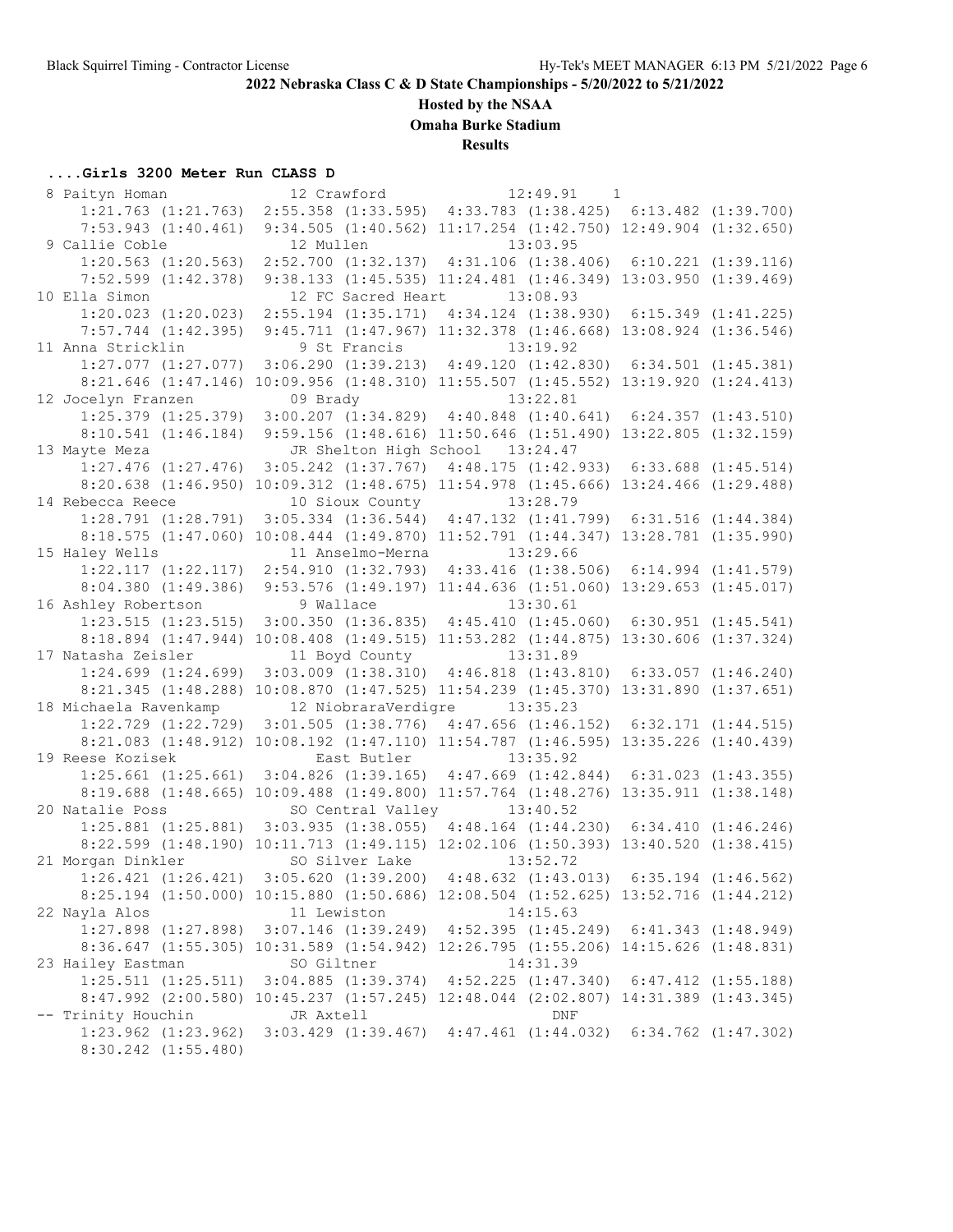## **Hosted by the NSAA**

**Omaha Burke Stadium**

**Results**

## **....Girls 3200 Meter Run CLASS D**

| 8 Paityn Homan          | 12 Crawford      | 12:49.91<br>$\overline{1}$                                                         |  |
|-------------------------|------------------|------------------------------------------------------------------------------------|--|
| $1:21.763$ $(1:21.763)$ |                  | 2:55.358 (1:33.595) 4:33.783 (1:38.425) 6:13.482 (1:39.700)                        |  |
| $7:53.943$ $(1:40.461)$ |                  | 9:34.505 (1:40.562) 11:17.254 (1:42.750) 12:49.904 (1:32.650)                      |  |
| 9 Callie Coble          | 12 Mullen        | 13:03.95                                                                           |  |
| $1:20.563$ $(1:20.563)$ |                  | 2:52.700 (1:32.137) 4:31.106 (1:38.406) 6:10.221 (1:39.116)                        |  |
| $7:52.599$ $(1:42.378)$ |                  | 9:38.133 (1:45.535) 11:24.481 (1:46.349) 13:03.950 (1:39.469)                      |  |
| 10 Ella Simon           |                  | 12 FC Sacred Heart 13:08.93                                                        |  |
| $1:20.023$ $(1:20.023)$ |                  | $2:55.194$ $(1:35.171)$ $4:34.124$ $(1:38.930)$ $6:15.349$ $(1:41.225)$            |  |
| $7:57.744$ $(1:42.395)$ |                  | 9:45.711 (1:47.967) 11:32.378 (1:46.668) 13:08.924 (1:36.546)                      |  |
| 11 Anna Stricklin       | 9 St Francis     | 13:19.92                                                                           |  |
| $1:27.077$ $(1:27.077)$ |                  | 3:06.290 (1:39.213) 4:49.120 (1:42.830) 6:34.501 (1:45.381)                        |  |
|                         |                  | 8:21.646 (1:47.146) 10:09.956 (1:48.310) 11:55.507 (1:45.552) 13:19.920 (1:24.413) |  |
| 12 Jocelyn Franzen      | 09 Brady         | 13:22.81                                                                           |  |
| $1:25.379$ $(1:25.379)$ |                  | $3:00.207$ (1:34.829) 4:40.848 (1:40.641) 6:24.357 (1:43.510)                      |  |
| 8:10.541(1:46.184)      |                  | 9:59.156 (1:48.616) 11:50.646 (1:51.490) 13:22.805 (1:32.159)                      |  |
| 13 Mayte Meza           |                  | JR Shelton High School 13:24.47                                                    |  |
| $1:27.476$ $(1:27.476)$ |                  | $3:05.242$ (1:37.767) $4:48.175$ (1:42.933) 6:33.688 (1:45.514)                    |  |
|                         |                  | 8:20.638 (1:46.950) 10:09.312 (1:48.675) 11:54.978 (1:45.666) 13:24.466 (1:29.488) |  |
| 14 Rebecca Reece        | 10 Sioux County  | 13:28.79                                                                           |  |
| $1:28.791$ $(1:28.791)$ |                  | $3:05.334$ $(1:36.544)$ $4:47.132$ $(1:41.799)$ $6:31.516$ $(1:44.384)$            |  |
|                         |                  | 8:18.575 (1:47.060) 10:08.444 (1:49.870) 11:52.791 (1:44.347) 13:28.781 (1:35.990) |  |
| 15 Haley Wells          | 11 Anselmo-Merna | 13:29.66                                                                           |  |
|                         |                  | 1:22.117 (1:22.117) 2:54.910 (1:32.793) 4:33.416 (1:38.506) 6:14.994 (1:41.579)    |  |
|                         |                  |                                                                                    |  |
|                         |                  | 8:04.380 (1:49.386) 9:53.576 (1:49.197) 11:44.636 (1:51.060) 13:29.653 (1:45.017)  |  |
| 16 Ashley Robertson     | 9 Wallace        | 13:30.61                                                                           |  |
| $1:23.515$ $(1:23.515)$ |                  | $3:00.350$ $(1:36.835)$ $4:45.410$ $(1:45.060)$ $6:30.951$ $(1:45.541)$            |  |
|                         |                  | 8:18.894 (1:47.944) 10:08.408 (1:49.515) 11:53.282 (1:44.875) 13:30.606 (1:37.324) |  |
| 17 Natasha Zeisler      | 11 Boyd County   | 13:31.89                                                                           |  |
| $1:24.699$ $(1:24.699)$ |                  | $3:03.009$ $(1:38.310)$ $4:46.818$ $(1:43.810)$ $6:33.057$ $(1:46.240)$            |  |
|                         |                  | 8:21.345 (1:48.288) 10:08.870 (1:47.525) 11:54.239 (1:45.370) 13:31.890 (1:37.651) |  |
| 18 Michaela Ravenkamp   |                  | 12 NiobraraVerdigre 13:35.23                                                       |  |
|                         |                  | 1:22.729 (1:22.729) 3:01.505 (1:38.776) 4:47.656 (1:46.152) 6:32.171 (1:44.515)    |  |
|                         |                  | 8:21.083 (1:48.912) 10:08.192 (1:47.110) 11:54.787 (1:46.595) 13:35.226 (1:40.439) |  |
| 19 Reese Kozisek        | East Butler      | 13:35.92                                                                           |  |
| $1:25.661$ $(1:25.661)$ |                  | $3:04.826$ (1:39.165) $4:47.669$ (1:42.844) 6:31.023 (1:43.355)                    |  |
|                         |                  | 8:19.688 (1:48.665) 10:09.488 (1:49.800) 11:57.764 (1:48.276) 13:35.911 (1:38.148) |  |
| 20 Natalie Poss         |                  | SO Central Valley 13:40.52                                                         |  |
|                         |                  | 1:25.881 (1:25.881) 3:03.935 (1:38.055) 4:48.164 (1:44.230) 6:34.410 (1:46.246)    |  |
|                         |                  | 8:22.599 (1:48.190) 10:11.713 (1:49.115) 12:02.106 (1:50.393) 13:40.520 (1:38.415) |  |
| 21 Morgan Dinkler       |                  | SO Silver Lake 13:52.72                                                            |  |
| $1:26.421$ $(1:26.421)$ |                  | $3:05.620$ $(1:39.200)$ $4:48.632$ $(1:43.013)$ $6:35.194$ $(1:46.562)$            |  |
|                         |                  | 8:25.194 (1:50.000) 10:15.880 (1:50.686) 12:08.504 (1:52.625) 13:52.716 (1:44.212) |  |
| 22 Nayla Alos           | 11 Lewiston      | 14:15.63                                                                           |  |
|                         |                  | 1:27.898 (1:27.898) 3:07.146 (1:39.249) 4:52.395 (1:45.249) 6:41.343 (1:48.949)    |  |
|                         |                  | 8:36.647 (1:55.305) 10:31.589 (1:54.942) 12:26.795 (1:55.206) 14:15.626 (1:48.831) |  |
| 23 Hailey Eastman       | SO Giltner       | 14:31.39                                                                           |  |
|                         |                  | 1:25.511 (1:25.511) 3:04.885 (1:39.374) 4:52.225 (1:47.340) 6:47.412 (1:55.188)    |  |
|                         |                  | 8:47.992 (2:00.580) 10:45.237 (1:57.245) 12:48.044 (2:02.807) 14:31.389 (1:43.345) |  |
| -- Trinity Houchin      | JR Axtell        | DNF                                                                                |  |
| $1:23.962$ $(1:23.962)$ |                  | $3:03.429$ $(1:39.467)$ $4:47.461$ $(1:44.032)$ $6:34.762$ $(1:47.302)$            |  |
| 8:30.242 (1:55.480)     |                  |                                                                                    |  |
|                         |                  |                                                                                    |  |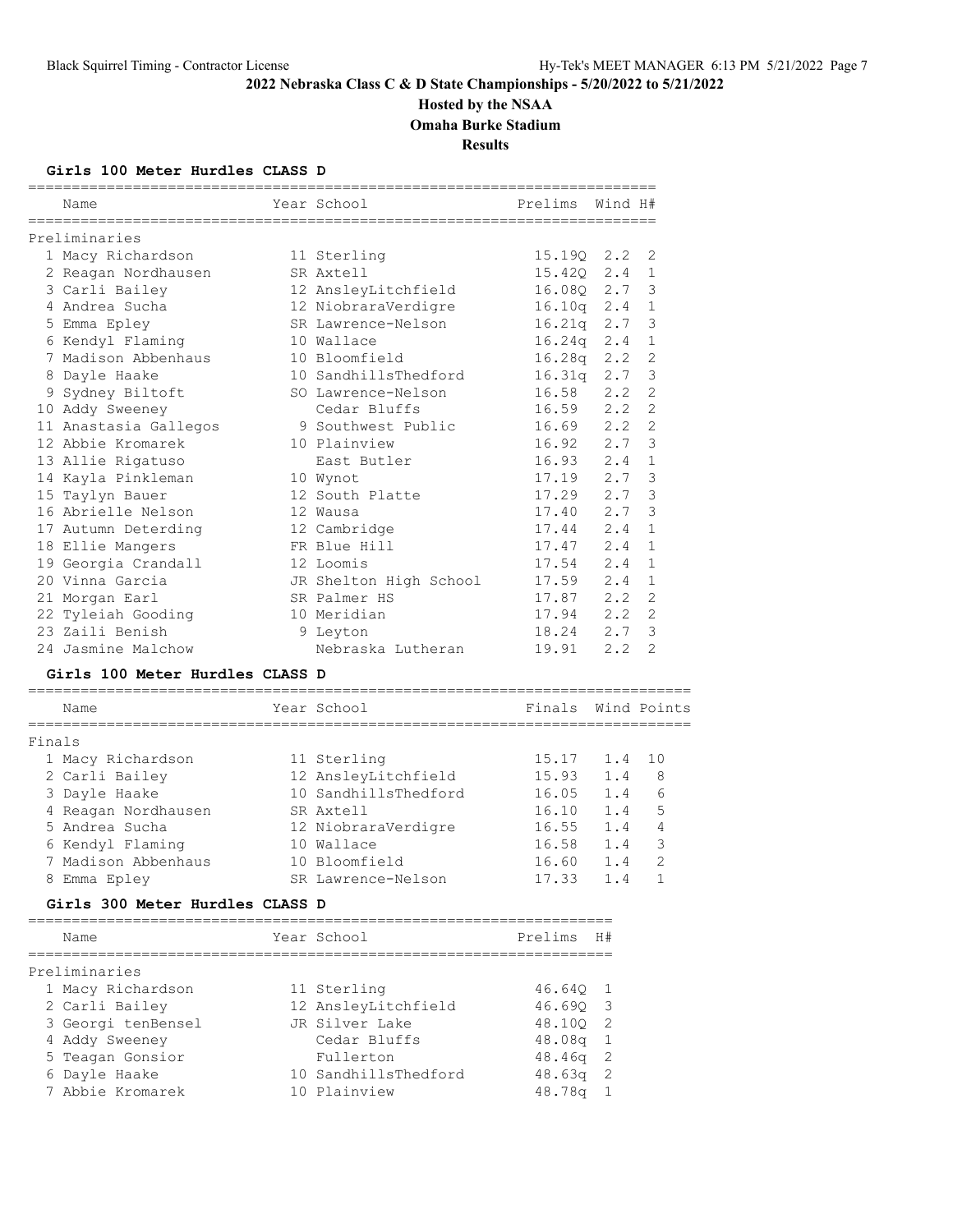## **Hosted by the NSAA**

**Omaha Burke Stadium**

**Results**

### **Girls 100 Meter Hurdles CLASS D**

|   | Name                  | Year School            | Prelims | Wind H# |                |
|---|-----------------------|------------------------|---------|---------|----------------|
|   | Preliminaries         |                        |         |         |                |
|   | 1 Macy Richardson     | 11 Sterling            | 15.19Q  | 2.2     | 2              |
|   | 2 Reagan Nordhausen   | SR Axtell              | 15.420  | 2.4     | 1              |
|   | 3 Carli Bailey        | 12 AnsleyLitchfield    | 16.080  | 2.7     | 3              |
|   | 4 Andrea Sucha        | 12 NiobraraVerdigre    | 16.10q  | 2.4     | $\mathbf{1}$   |
|   | 5 Emma Epley          | SR Lawrence-Nelson     | 16.21q  | 2.7     | 3              |
|   | 6 Kendyl Flaming      | 10 Wallace             | 16.24q  | 2.4     | $\mathbf{1}$   |
|   | 7 Madison Abbenhaus   | 10 Bloomfield          | 16.28q  | 2.2     | $\overline{2}$ |
| 8 | Dayle Haake           | 10 SandhillsThedford   | 16.31q  | 2.7     | 3              |
| 9 | Sydney Biltoft        | SO Lawrence-Nelson     | 16.58   | 2.2     | $\overline{2}$ |
|   | 10 Addy Sweeney       | Cedar Bluffs           | 16.59   | 2.2     | $\overline{2}$ |
|   | 11 Anastasia Gallegos | 9 Southwest Public     | 16.69   | 2.2     | $\overline{2}$ |
|   | 12 Abbie Kromarek     | 10 Plainview           | 16.92   | 2.7     | 3              |
|   | 13 Allie Rigatuso     | East Butler            | 16.93   | 2.4     | $\mathbf{1}$   |
|   | 14 Kayla Pinkleman    | 10 Wynot               | 17.19   | 2.7     | 3              |
|   | 15 Taylyn Bauer       | 12 South Platte        | 17.29   | 2.7     | 3              |
|   | 16 Abrielle Nelson    | 12 Wausa               | 17.40   | 2.7     | 3              |
|   | 17 Autumn Deterding   | 12 Cambridge           | 17.44   | 2.4     | $\mathbf{1}$   |
|   | 18 Ellie Mangers      | FR Blue Hill           | 17.47   | 2.4     | $\mathbf{1}$   |
|   | 19 Georgia Crandall   | 12 Loomis              | 17.54   | 2.4     | $\mathbf{1}$   |
|   | 20 Vinna Garcia       | JR Shelton High School | 17.59   | 2.4     | $\mathbf{1}$   |
|   | 21 Morgan Earl        | SR Palmer HS           | 17.87   | 2.2     | 2              |
|   | 22 Tyleiah Gooding    | 10 Meridian            | 17.94   | 2.2     | $\overline{2}$ |
|   | 23 Zaili Benish       | 9 Leyton               | 18.24   | 2.7     | 3              |
|   | 24 Jasmine Malchow    | Nebraska Lutheran      | 19.91   | 2.2     | $\overline{2}$ |

#### **Girls 100 Meter Hurdles CLASS D**

|        | Name                | Year School          | Finals |     | Wind Points   |
|--------|---------------------|----------------------|--------|-----|---------------|
| Finals |                     |                      |        |     |               |
|        | 1 Macy Richardson   | 11 Sterling          | 15.17  | 1.4 | 10            |
|        | 2 Carli Bailey      | 12 AnsleyLitchfield  | 15.93  | 1.4 | 8             |
|        | 3 Dayle Haake       | 10 SandhillsThedford | 16.05  | 1.4 | 6             |
|        | 4 Reagan Nordhausen | SR Axtell            | 16.10  | 1.4 | 5             |
|        | 5 Andrea Sucha      | 12 NiobraraVerdigre  | 16.55  | 1.4 | 4             |
|        | 6 Kendyl Flaming    | 10 Wallace           | 16.58  | 1.4 | 3             |
|        | 7 Madison Abbenhaus | 10 Bloomfield        | 16.60  | 1.4 | $\mathcal{P}$ |
| 8      | Emma Epley          | SR Lawrence-Nelson   | 17.33  | 1.4 |               |
|        |                     |                      |        |     |               |

## **Girls 300 Meter Hurdles CLASS D**

| Name               | Year School          | Prelims            | H# |
|--------------------|----------------------|--------------------|----|
| Preliminaries      |                      |                    |    |
| 1 Macy Richardson  | 11 Sterling          | 46.640 1           |    |
| 2 Carli Bailey     | 12 AnsleyLitchfield  | 46.690 3           |    |
| 3 Georgi tenBensel | JR Silver Lake       | 48.100 2           |    |
| 4 Addy Sweeney     | Cedar Bluffs         | $48.08q$ 1         |    |
| 5 Teagan Gonsior   | Fullerton            | $48.46q$ 2         |    |
| 6 Dayle Haake      | 10 SandhillsThedford | 48.63q             | -2 |
| 7 Abbie Kromarek   | 10 Plainview         | 48.78 <sub>q</sub> |    |
|                    |                      |                    |    |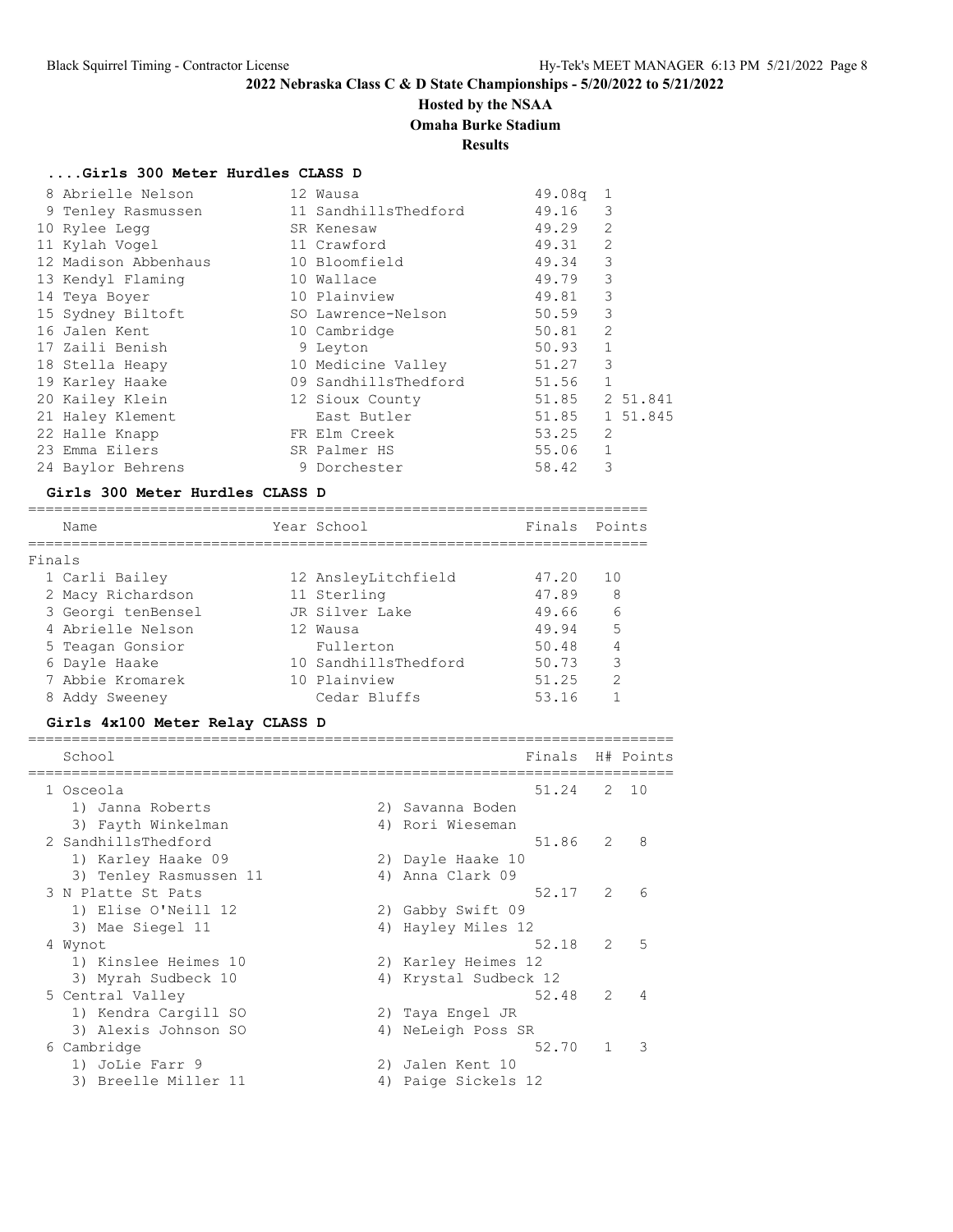# **Hosted by the NSAA**

**Omaha Burke Stadium**

**Results**

## **....Girls 300 Meter Hurdles CLASS D**

| 8 Abrielle Nelson    | 12 Wausa             | 49.08q | -1             |          |
|----------------------|----------------------|--------|----------------|----------|
| 9 Tenley Rasmussen   | 11 SandhillsThedford | 49.16  | 3              |          |
| 10 Rylee Legg        | SR Kenesaw           | 49.29  | 2              |          |
| 11 Kylah Voqel       | 11 Crawford          | 49.31  | 2              |          |
| 12 Madison Abbenhaus | 10 Bloomfield        | 49.34  | 3              |          |
| 13 Kendyl Flaming    | 10 Wallace           | 49.79  | 3              |          |
| 14 Teya Boyer        | 10 Plainview         | 49.81  | 3              |          |
| 15 Sydney Biltoft    | SO Lawrence-Nelson   | 50.59  | 3              |          |
| 16 Jalen Kent        | 10 Cambridge         | 50.81  | $\overline{2}$ |          |
| 17 Zaili Benish      | 9 Leyton             | 50.93  | $\mathbf{1}$   |          |
| 18 Stella Heapy      | 10 Medicine Valley   | 51.27  | 3              |          |
| 19 Karley Haake      | 09 SandhillsThedford | 51.56  | $\mathbf{1}$   |          |
| 20 Kailey Klein      | 12 Sioux County      | 51.85  |                | 2 51.841 |
| 21 Haley Klement     | East Butler          | 51.85  |                | 1 51.845 |
| 22 Halle Knapp       | FR Elm Creek         | 53.25  | $\mathfrak{D}$ |          |
| 23 Emma Eilers       | SR Palmer HS         | 55.06  | $\mathbf{1}$   |          |
| 24 Baylor Behrens    | 9 Dorchester         | 58.42  | 3              |          |

#### **Girls 300 Meter Hurdles CLASS D**

|        | Name               | Year School          | Finals Points |               |
|--------|--------------------|----------------------|---------------|---------------|
|        |                    |                      |               |               |
| Finals |                    |                      |               |               |
|        | 1 Carli Bailey     | 12 AnsleyLitchfield  | 47.20         | 1 O           |
|        | 2 Macy Richardson  | 11 Sterling          | 47.89         | 8             |
|        | 3 Georgi tenBensel | JR Silver Lake       | 49.66         | 6             |
|        | 4 Abrielle Nelson  | 12 Wausa             | 49.94         | .5            |
|        | 5 Teagan Gonsior   | Fullerton            | 50.48         | 4             |
|        | 6 Dayle Haake      | 10 SandhillsThedford | 50.73         | 3             |
|        | 7 Abbie Kromarek   | 10 Plainview         | 51.25         | $\mathcal{P}$ |
|        | 8 Addy Sweeney     | Cedar Bluffs         | 53.16         |               |

## **Girls 4x100 Meter Relay CLASS D**

| School                 |    | Finals                |               | H# Points       |
|------------------------|----|-----------------------|---------------|-----------------|
| 1 Osceola              |    | 51.24                 |               | 2 10            |
| 1) Janna Roberts       |    | 2) Savanna Boden      |               |                 |
| 3) Fayth Winkelman     |    | 4) Rori Wieseman      |               |                 |
| 2 SandhillsThedford    |    | 51.86                 | 2             | 8               |
| 1) Karley Haake 09     |    | 2) Dayle Haake 10     |               |                 |
| 3) Tenley Rasmussen 11 |    | 4) Anna Clark 09      |               |                 |
| 3 N Platte St Pats     |    | $52.17$ 2             |               | $6\overline{6}$ |
| 1) Elise O'Neill 12    |    | 2) Gabby Swift 09     |               |                 |
| 3) Mae Siegel 11       |    | 4) Hayley Miles 12    |               |                 |
| 4 Wynot                |    | 52.18                 | $\mathcal{L}$ | $-5$            |
| 1) Kinslee Heimes 10   |    | 2) Karley Heimes 12   |               |                 |
| 3) Myrah Sudbeck 10    |    | 4) Krystal Sudbeck 12 |               |                 |
| 5 Central Valley       |    | 52.48                 | $\mathcal{L}$ | 4               |
| 1) Kendra Cargill SO   |    | 2) Taya Engel JR      |               |                 |
| 3) Alexis Johnson SO   |    | 4) NeLeigh Poss SR    |               |                 |
| 6 Cambridge            |    | 52.70                 |               | $\mathcal{R}$   |
| 1) JoLie Farr 9        | 2) | Jalen Kent 10         |               |                 |
| 3) Breelle Miller 11   | 4) | Paige Sickels 12      |               |                 |
|                        |    |                       |               |                 |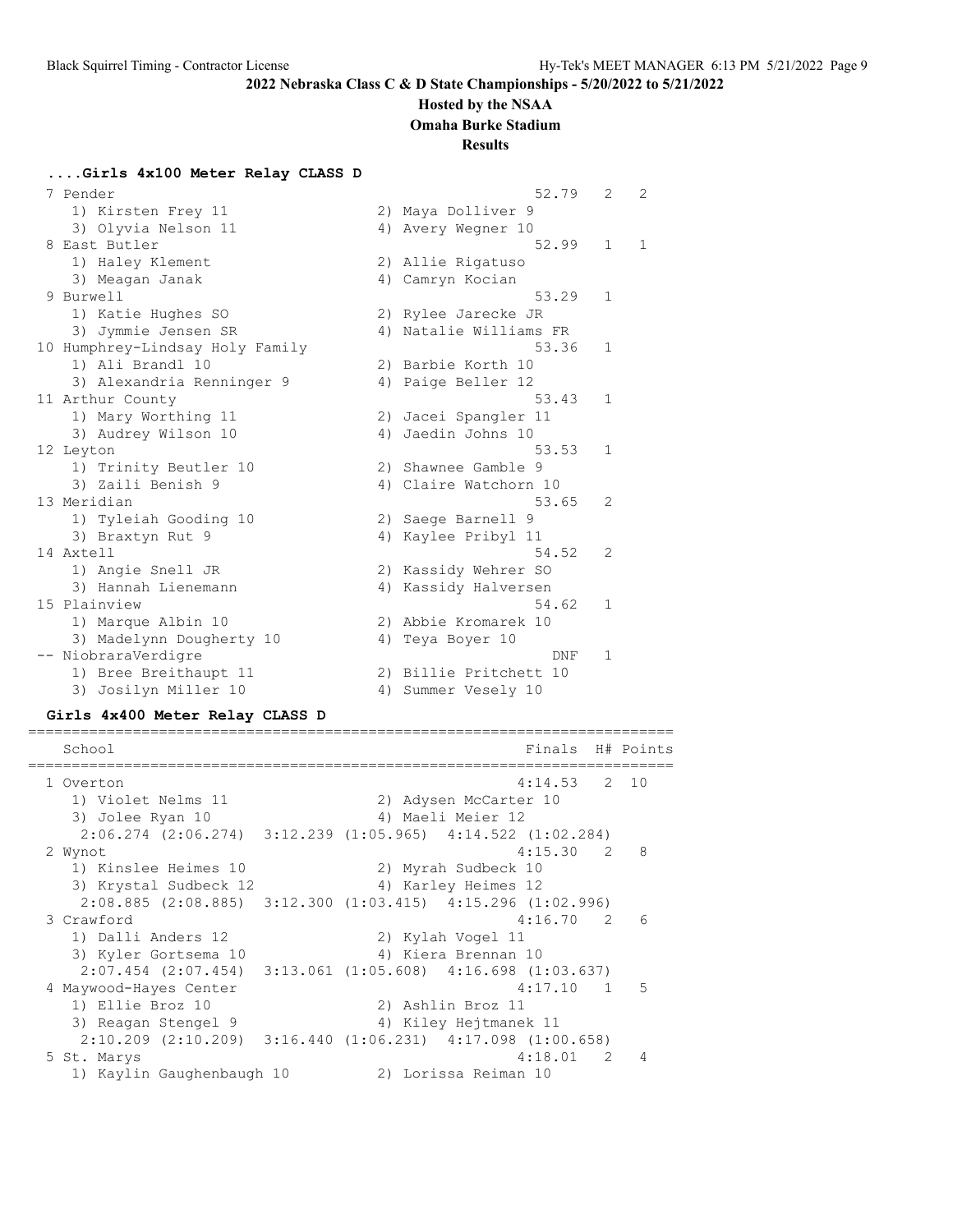#### **Hosted by the NSAA**

**Omaha Burke Stadium**

#### **Results**

**....Girls 4x100 Meter Relay CLASS D**

| 7 Pender                        |    | 52.79                  | $\overline{2}$ | 2 |
|---------------------------------|----|------------------------|----------------|---|
| 1) Kirsten Frey 11              |    | 2) Maya Dolliver 9     |                |   |
| 3) Olyvia Nelson 11             |    | 4) Avery Wegner 10     |                |   |
| 8 East Butler                   |    | 52.99                  | $\mathbf{1}$   | 1 |
| 1) Haley Klement                |    | 2) Allie Rigatuso      |                |   |
| 3) Meagan Janak                 |    | 4) Camryn Kocian       |                |   |
| 9 Burwell                       |    | 53.29                  | $\mathbf{1}$   |   |
| 1) Katie Hughes SO              |    | 2) Rylee Jarecke JR    |                |   |
| 3) Jymmie Jensen SR             |    | 4) Natalie Williams FR |                |   |
| 10 Humphrey-Lindsay Holy Family |    | 53.36                  | $\mathbf{1}$   |   |
| 1) Ali Brandl 10                |    | 2) Barbie Korth 10     |                |   |
| 3) Alexandria Renninger 9       |    | 4) Paige Beller 12     |                |   |
| 11 Arthur County                |    | 53.43                  | $\mathbf{1}$   |   |
| 1) Mary Worthing 11             |    | 2) Jacei Spangler 11   |                |   |
| 3) Audrey Wilson 10             |    | 4) Jaedin Johns 10     |                |   |
| 12 Leyton                       |    | 53.53                  | 1              |   |
| 1) Trinity Beutler 10           |    | 2) Shawnee Gamble 9    |                |   |
| 3) Zaili Benish 9               |    | 4) Claire Watchorn 10  |                |   |
| 13 Meridian                     |    | 53.65                  | $\mathfrak{D}$ |   |
| 1) Tyleiah Gooding 10           |    | 2) Saege Barnell 9     |                |   |
| 3) Braxtyn Rut 9                |    | 4) Kaylee Pribyl 11    |                |   |
| 14 Axtell                       |    | 54.52                  | 2              |   |
| 1) Angie Snell JR               |    | 2) Kassidy Wehrer SO   |                |   |
| 3) Hannah Lienemann             |    | 4) Kassidy Halversen   |                |   |
| 15 Plainview                    |    | 54.62                  | $\mathbf{1}$   |   |
| 1) Marque Albin 10              |    | 2) Abbie Kromarek 10   |                |   |
| 3) Madelynn Dougherty 10        | 4) | Teya Boyer 10          |                |   |
| -- NiobraraVerdigre             |    | DNF                    | 1              |   |
| 1) Bree Breithaupt 11           |    | 2) Billie Pritchett 10 |                |   |
| 3) Josilyn Miller 10            |    | 4) Summer Vesely 10    |                |   |

#### **Girls 4x400 Meter Relay CLASS D**

========================================================================== School **Finals H#** Points ========================================================================== 1 Overton 4:14.53 2 10 1) Violet Nelms 11 2) Adysen McCarter 10 3) Jolee Ryan 10 4) Maeli Meier 12 2:06.274 (2:06.274) 3:12.239 (1:05.965) 4:14.522 (1:02.284) 2 Wynot 4:15.30 2 8 1) Kinslee Heimes 10 2) Myrah Sudbeck 10 3) Krystal Sudbeck 12 1940 (4) Karley Heimes 12 2:08.885 (2:08.885) 3:12.300 (1:03.415) 4:15.296 (1:02.996) 3 Crawford 4:16.70 2 6 1) Dalli Anders 12 2) Kylah Vogel 11 3) Kyler Gortsema 10 4) Kiera Brennan 10 2:07.454 (2:07.454) 3:13.061 (1:05.608) 4:16.698 (1:03.637) 4 Maywood-Hayes Center 4:17.10 1 5 1) Ellie Broz 10 2) Ashlin Broz 11 3) Reagan Stengel 9 4) Kiley Hejtmanek 11 2:10.209 (2:10.209) 3:16.440 (1:06.231) 4:17.098 (1:00.658) 5 St. Marys 4:18.01 2 4 1) Kaylin Gaughenbaugh 10 2) Lorissa Reiman 10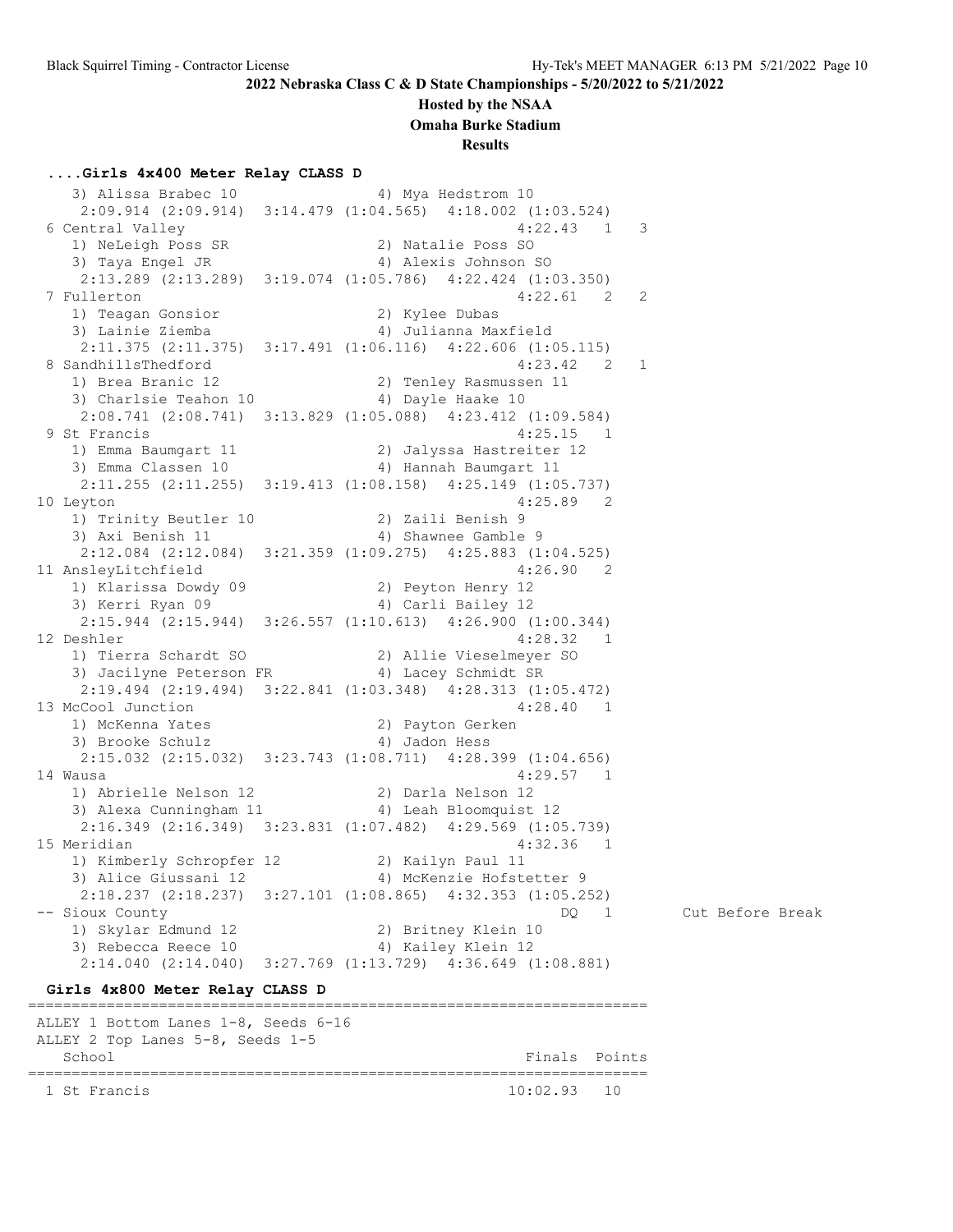#### **Hosted by the NSAA**

**Omaha Burke Stadium**

#### **Results**

#### **....Girls 4x400 Meter Relay CLASS D**

3) Alissa Brabec 10 4) Mya Hedstrom 10 2:09.914 (2:09.914) 3:14.479 (1:04.565) 4:18.002 (1:03.524) 6 Central Valley 1) NeLeigh Poss SR 2) Natalie Poss SO<br>2) Thus Engel IP 3 4) Alexis Johnson 1) Neuergii roos on<br>3) Taya Engel JR 4) Alexis Johnson SO 2:13.289 (2:13.289) 3:19.074 (1:05.786) 4:22.424 (1:03.350) 7 Fullerton 4:22.61 2 2 1) Teagan Gonsior 2) Kylee Dubas 3) Lainie Ziemba 4) Julianna Maxfield 2:11.375 (2:11.375) 3:17.491 (1:06.116) 4:22.606 (1:05.115) 8 SandhillsThedford 4:23.42 2 1 1) Brea Branic 12 2) Tenley Rasmussen 11 3) Charlsie Teahon 10  $\hskip1cm$  4) Dayle Haake 10 2:08.741 (2:08.741) 3:13.829 (1:05.088) 4:23.412 (1:09.584) 9 St Francis 4:25.15 1 1) Emma Baumgart 11 2) Jalyssa Hastreiter 12 3) Emma Classen 10 4) Hannah Baumgart 11 2:11.255 (2:11.255) 3:19.413 (1:08.158) 4:25.149 (1:05.737) 10 Leyton 4:25.89 2 1) Trinity Beutler 10 2) Zaili Benish 9 3) Axi Benish 11 (4) Shawnee Gamble 9 2:12.084 (2:12.084) 3:21.359 (1:09.275) 4:25.883 (1:04.525) 11 AnsleyLitchfield 4:26.90 2 1) Klarissa Dowdy 09 2) Peyton Henry 12 3) Kerri Ryan 09 4) Carli Bailey 12 2:15.944 (2:15.944) 3:26.557 (1:10.613) 4:26.900 (1:00.344) 12 Deshler 4:28.32 1 1) Tierra Schardt SO 2) Allie Vieselmeyer SO 3) Jacilyne Peterson FR 4) Lacey Schmidt SR 2:19.494 (2:19.494) 3:22.841 (1:03.348) 4:28.313 (1:05.472) 13 McCool Junction 4:28.40 1 1) McKenna Yates 2) Payton Gerken 3) Brooke Schulz (4) Jadon Hess 2:15.032 (2:15.032) 3:23.743 (1:08.711) 4:28.399 (1:04.656) 14 Wausa 4:29.57 1 1) Abrielle Nelson 12 2) Darla Nelson 12 3) Alexa Cunningham 11 4) Leah Bloomquist 12 2:16.349 (2:16.349) 3:23.831 (1:07.482) 4:29.569 (1:05.739) 15 Meridian 4:32.36 1 1) Kimberly Schropfer 12 2) Kailyn Paul 11 3) Alice Giussani 12 4) McKenzie Hofstetter 9 2:18.237 (2:18.237) 3:27.101 (1:08.865) 4:32.353 (1:05.252) -- Sioux County DQ 1 Cut Before Break 1) Skylar Edmund 12 2) Britney Klein 10 3) Rebecca Reece 10 4) Kailey Klein 12 2:14.040 (2:14.040) 3:27.769 (1:13.729) 4:36.649 (1:08.881) **Girls 4x800 Meter Relay CLASS D** ======================================================================= ALLEY 1 Bottom Lanes 1-8, Seeds 6-16 ALLEY 2 Top Lanes 5-8, Seeds 1-5 School **Finals** Points **Points** ======================================================================= 1 St Francis 10:02.93 10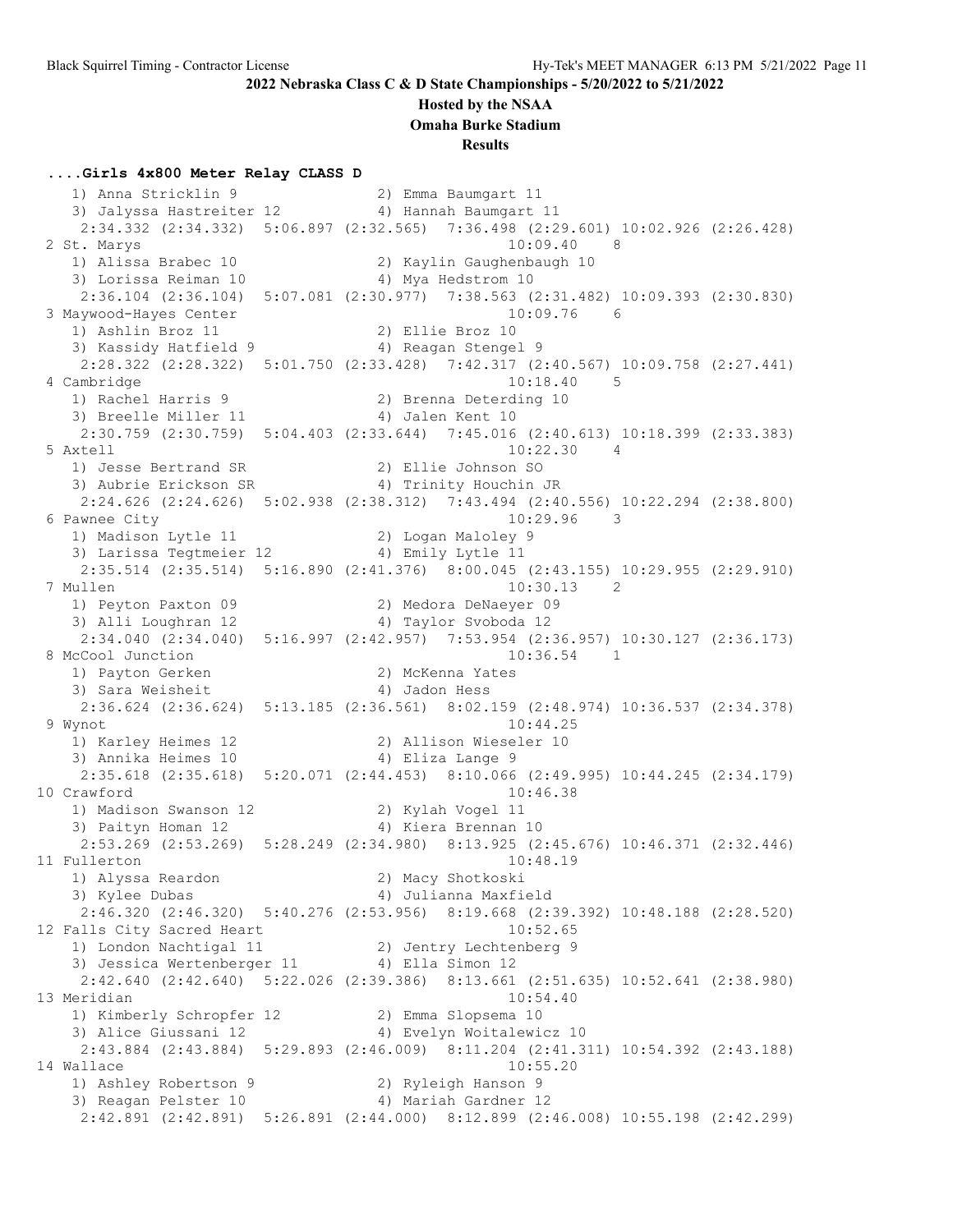#### **Hosted by the NSAA**

**Omaha Burke Stadium**

**Results**

#### **....Girls 4x800 Meter Relay CLASS D**

 1) Anna Stricklin 9 2) Emma Baumgart 11 3) Jalyssa Hastreiter 12 4) Hannah Baumgart 11 2:34.332 (2:34.332) 5:06.897 (2:32.565) 7:36.498 (2:29.601) 10:02.926 (2:26.428) 2 St. Marys 10:09.40 8 1) Alissa Brabec 10 2) Kaylin Gaughenbaugh 10 3) Lorissa Reiman 10  $\hskip1cm$  4) Mya Hedstrom 10 2:36.104 (2:36.104) 5:07.081 (2:30.977) 7:38.563 (2:31.482) 10:09.393 (2:30.830) 3 Maywood-Hayes Center<br>1) Ashlin Broz 11 1) Ashlin Broz 11 2) Ellie Broz 10 3) Kassidy Hatfield 9 1944 (4) Reagan Stengel 9 2:28.322 (2:28.322) 5:01.750 (2:33.428) 7:42.317 (2:40.567) 10:09.758 (2:27.441) 4 Cambridge 10:18.40 5 1) Rachel Harris 9 2) Brenna Deterding 10 3) Breelle Miller 11 (4) Jalen Kent 10 2:30.759 (2:30.759) 5:04.403 (2:33.644) 7:45.016 (2:40.613) 10:18.399 (2:33.383) 5 Axtell 10:22.30 4 1) Jesse Bertrand SR 2) Ellie Johnson SO 3) Aubrie Erickson SR 4) Trinity Houchin JR 2:24.626 (2:24.626) 5:02.938 (2:38.312) 7:43.494 (2:40.556) 10:22.294 (2:38.800) 6 Pawnee City 10:29.96 3 1) Madison Lytle 11 2) Logan Maloley 9 3) Larissa Tegtmeier 12  $\hskip1cm$  4) Emily Lytle 11 2:35.514 (2:35.514) 5:16.890 (2:41.376) 8:00.045 (2:43.155) 10:29.955 (2:29.910) 7 Mullen 10:30.13 2 1) Peyton Paxton 09 2) Medora DeNaeyer 09 3) Alli Loughran 12 4) Taylor Svoboda 12 2) 192206 10ACOR (2:34.040)<br>3) Alli Loughran 12 (2:34.040) 5:16.997 (2:42.957) 7:53.954 (2:36.957) 10:30.127 (2:36.173) 8 McCool Junction 10:36.54 1 1) Payton Gerken 2) McKenna Yates 3) Sara Weisheit (4) Jadon Hess 2:36.624 (2:36.624) 5:13.185 (2:36.561) 8:02.159 (2:48.974) 10:36.537 (2:34.378) 9 Wynot 10:44.25 1) Karley Heimes 12 2) Allison Wieseler 10 3) Annika Heimes 10  $\hskip1cm$  4) Eliza Lange 9 2:35.618 (2:35.618) 5:20.071 (2:44.453) 8:10.066 (2:49.995) 10:44.245 (2:34.179) 10 Crawford 10:46.38 1) Madison Swanson 12 2) Kylah Vogel 11 3) Paityn Homan 12 4) Kiera Brennan 10 2:53.269 (2:53.269) 5:28.249 (2:34.980) 8:13.925 (2:45.676) 10:46.371 (2:32.446) 11 Fullerton 10:48.19 1) Alyssa Reardon 2) Macy Shotkoski 3) Kylee Dubas 4) Julianna Maxfield 2:46.320 (2:46.320) 5:40.276 (2:53.956) 8:19.668 (2:39.392) 10:48.188 (2:28.520) 12 Falls City Sacred Heart 10:52.65 1) London Nachtigal 11 2) Jentry Lechtenberg 9 3) Jessica Wertenberger 11 <a>> 4) Ella Simon 12 2:42.640 (2:42.640) 5:22.026 (2:39.386) 8:13.661 (2:51.635) 10:52.641 (2:38.980) 13 Meridian 10:54.40 1) Kimberly Schropfer 12 2) Emma Slopsema 10 3) Alice Giussani 12 4) Evelyn Woitalewicz 10 2:43.884 (2:43.884) 5:29.893 (2:46.009) 8:11.204 (2:41.311) 10:54.392 (2:43.188) 14 Wallace 10:55.20 1) Ashley Robertson 9 2) Ryleigh Hanson 9 3) Reagan Pelster 10  $\hskip1cm$  4) Mariah Gardner 12 2:42.891 (2:42.891) 5:26.891 (2:44.000) 8:12.899 (2:46.008) 10:55.198 (2:42.299)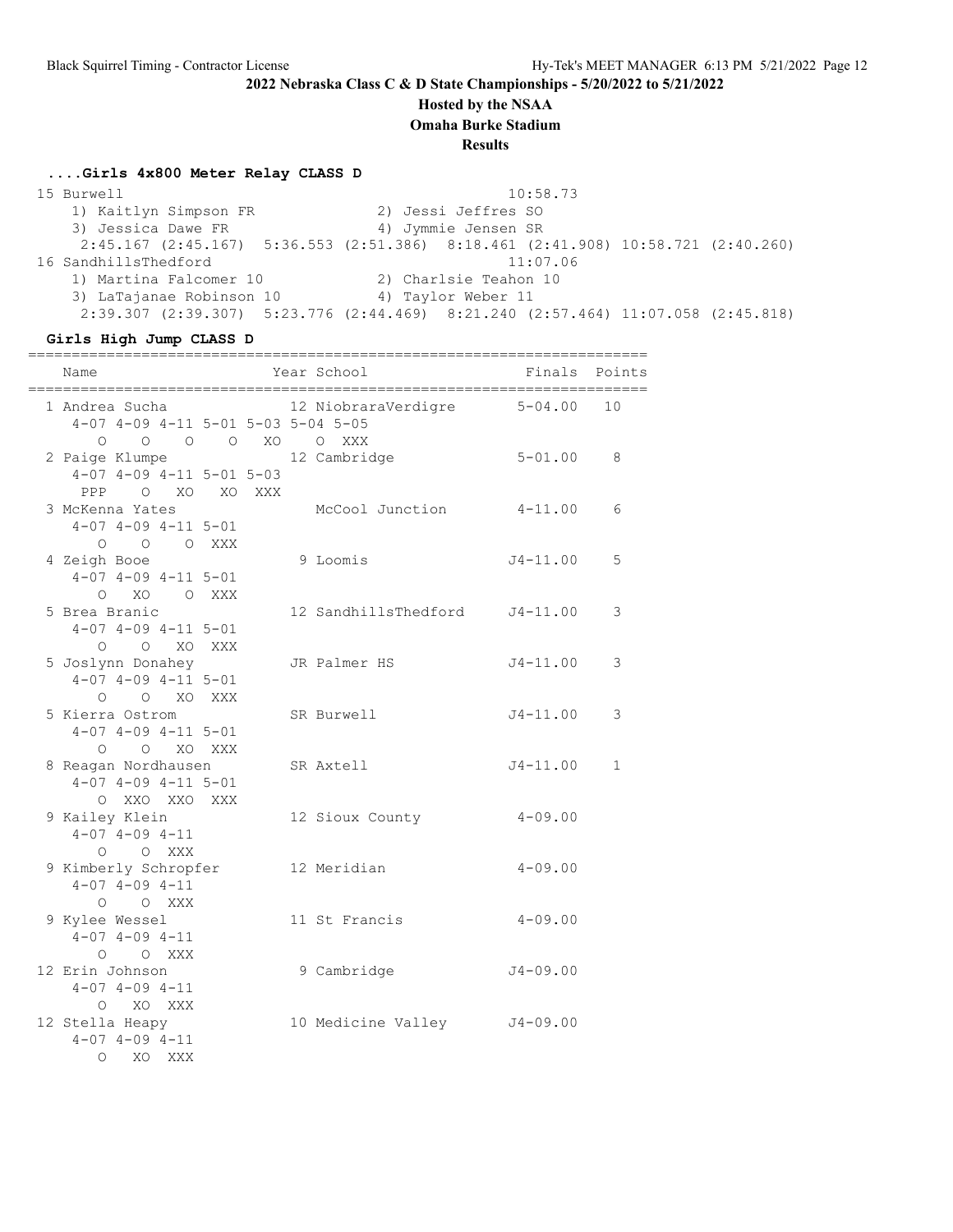## **Hosted by the NSAA**

**Omaha Burke Stadium**

**Results**

#### **....Girls 4x800 Meter Relay CLASS D**

 15 Burwell 10:58.73 1) Kaitlyn Simpson FR 2) Jessi Jeffres SO 3) Jessica Dawe FR 4) Jymmie Jensen SR 2:45.167 (2:45.167) 5:36.553 (2:51.386) 8:18.461 (2:41.908) 10:58.721 (2:40.260) 16 SandhillsThedford 11:07.06 1) Martina Falcomer 10 2) Charlsie Teahon 10 3) LaTajanae Robinson 10  $\hskip1cm 4)$  Taylor Weber 11 2:39.307 (2:39.307) 5:23.776 (2:44.469) 8:21.240 (2:57.464) 11:07.058 (2:45.818)

#### **Girls High Jump CLASS D**

| Name                                                                                        |  | Year School                   |              | Finals Points |
|---------------------------------------------------------------------------------------------|--|-------------------------------|--------------|---------------|
| 1 Andrea Sucha<br>4-07 4-09 4-11 5-01 5-03 5-04 5-05                                        |  | 12 NiobraraVerdigre 5-04.00   |              | 10            |
| 0 0 0 0 XO 0 XXX<br>2 Paige Klumpe<br>$4-07$ $4-09$ $4-11$ $5-01$ $5-03$<br>PPP O XO XO XXX |  | 12 Cambridge                  | $5 - 01.00$  | 8             |
| 3 McKenna Yates<br>$4-07$ $4-09$ $4-11$ $5-01$<br>O O XXX<br>$\circ$                        |  | McCool Junction 4-11.00       |              | 6             |
| 4 Zeigh Booe<br>$4-07$ $4-09$ $4-11$ $5-01$<br>O XO O XXX                                   |  | 9 Loomis                      | $J4 - 11.00$ | 5             |
| 5 Brea Branic<br>$4-07$ $4-09$ $4-11$ $5-01$<br>O O XO XXX                                  |  | 12 SandhillsThedford J4-11.00 |              | 3             |
| 5 Joslynn Donahey<br>$4-07$ $4-09$ $4-11$ $5-01$<br>O XO XXX<br>$\bigcirc$                  |  | JR Palmer HS                  | $J4 - 11.00$ | 3             |
| 5 Kierra Ostrom<br>$4-07$ $4-09$ $4-11$ $5-01$<br>O O XO XXX                                |  | SR Burwell                    | $J4 - 11.00$ | 3             |
| 8 Reagan Nordhausen<br>$4-07$ $4-09$ $4-11$ $5-01$<br>O XXO XXO XXX                         |  | SR Axtell                     | $J4 - 11.00$ | $\mathbf{1}$  |
| 9 Kailey Klein<br>$4 - 07$ $4 - 09$ $4 - 11$<br>O XXX<br>$\circ$                            |  | 12 Sioux County               | $4 - 09.00$  |               |
| 9 Kimberly Schropfer<br>$4-07$ $4-09$ $4-11$<br>$O$ $O$ XXX                                 |  | 12 Meridian                   | $4 - 09.00$  |               |
| 9 Kylee Wessel<br>$4 - 07$ $4 - 09$ $4 - 11$<br>O XXX<br>$\Omega$                           |  | 11 St Francis                 | $4 - 09.00$  |               |
| 12 Erin Johnson<br>$4 - 07$ $4 - 09$ $4 - 11$<br>O XO XXX                                   |  | 9 Cambridge                   | $J4 - 09.00$ |               |
| 12 Stella Heapy<br>$4-07$ $4-09$ $4-11$<br>$\Omega$<br>XO<br><b>XXX</b>                     |  | 10 Medicine Valley J4-09.00   |              |               |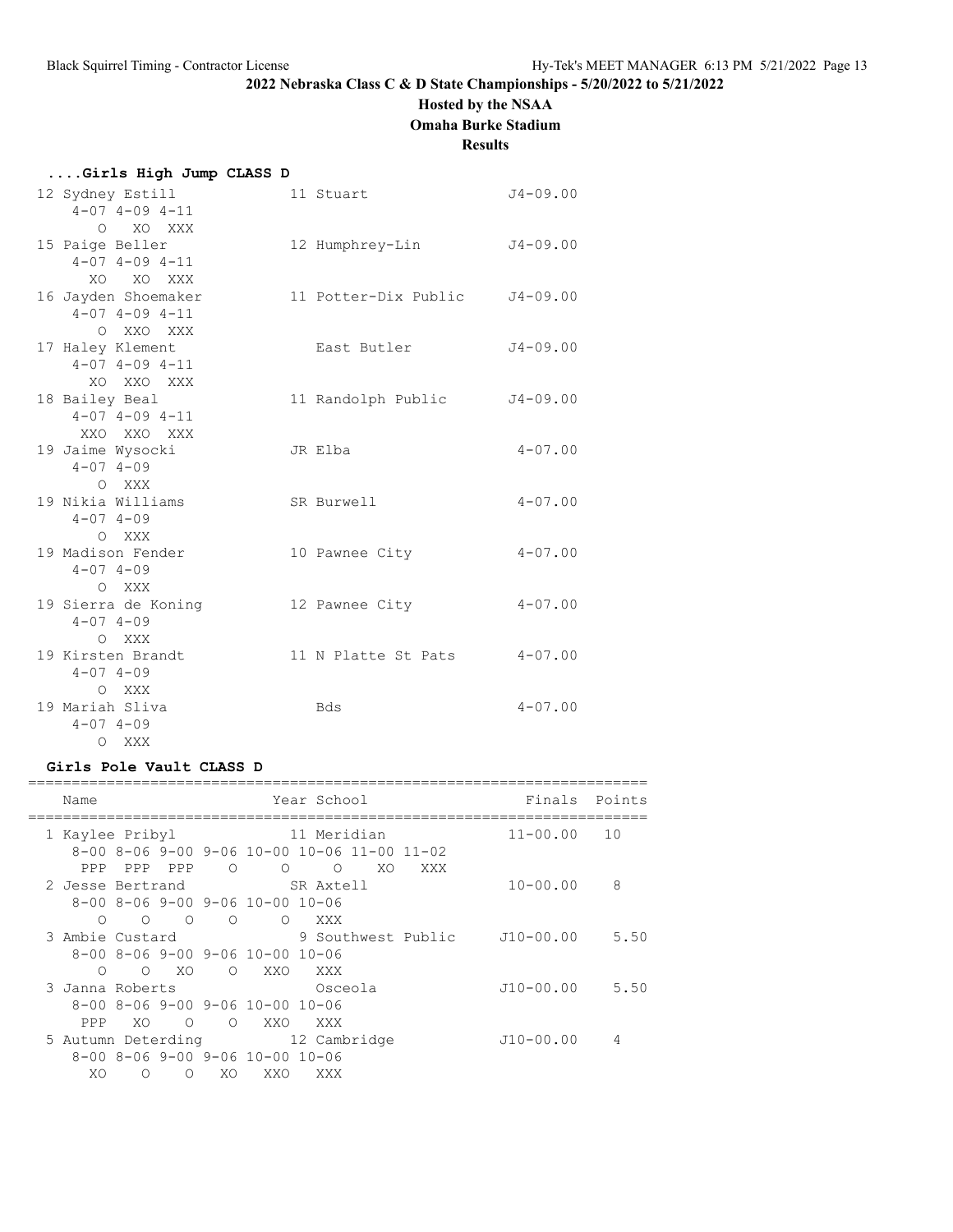## **Hosted by the NSAA**

**Omaha Burke Stadium**

#### **Results**

|  |  |  |  | Girls High Jump CLASS D |  |
|--|--|--|--|-------------------------|--|
|  |  |  |  |                         |  |

| 12 Sydney Estill<br>$4 - 07$ $4 - 09$ $4 - 11$                    | 11 Stuart                     | $J4 - 09.00$ |
|-------------------------------------------------------------------|-------------------------------|--------------|
| O XO XXX<br>15 Paige Beller<br>$4 - 07$ $4 - 09$ $4 - 11$         | 12 Humphrey-Lin               | $J4 - 09.00$ |
| XO<br>XO XXX<br>16 Jayden Shoemaker<br>$4 - 07$ $4 - 09$ $4 - 11$ | 11 Potter-Dix Public J4-09.00 |              |
| O XXO XXX<br>17 Haley Klement<br>$4 - 07$ $4 - 09$ $4 - 11$       | East Butler                   | $J4 - 09.00$ |
| XO XXO XXX<br>18 Bailey Beal<br>$4 - 07$ $4 - 09$ $4 - 11$        | 11 Randolph Public            | $J4 - 09.00$ |
| XXO XXO XXX<br>19 Jaime Wysocki<br>$4 - 07$ $4 - 09$              | JR Elba                       | $4 - 07.00$  |
| O XXX<br>19 Nikia Williams<br>$4 - 07$ $4 - 09$                   | SR Burwell                    | $4 - 07.00$  |
| O XXX<br>19 Madison Fender<br>$4 - 07$ $4 - 09$                   | 10 Pawnee City                | $4 - 07.00$  |
| O XXX<br>19 Sierra de Koning<br>$4 - 07$ $4 - 09$                 | 12 Pawnee City                | $4 - 07.00$  |
| O XXX<br>19 Kirsten Brandt<br>$4 - 07$ $4 - 09$                   | 11 N Platte St Pats           | $4 - 07.00$  |
| O XXX<br>19 Mariah Sliva<br>$4 - 07$ $4 - 09$                     | Bds                           | $4 - 07.00$  |
| $\Omega$<br>XXX                                                   |                               |              |

### **Girls Pole Vault CLASS D**

| Name                            |            |            |            |                                                         | Year School                                                 |    |                    | Finals       | Points |
|---------------------------------|------------|------------|------------|---------------------------------------------------------|-------------------------------------------------------------|----|--------------------|--------------|--------|
| 1 Kaylee Pribyl                 |            |            |            |                                                         | 11 Meridian                                                 |    |                    | $11 - 00.00$ | 10     |
|                                 |            |            |            |                                                         | $8-00$ $8-06$ $9-00$ $9-06$ $10-00$ $10-06$ $11-00$ $11-02$ |    |                    |              |        |
|                                 | PPP PPP    | PPP        | $\circ$    | $\Omega$                                                | $\Omega$                                                    | XO | XXX                |              |        |
| 2 Jesse Bertrand SR Axtell      |            |            |            |                                                         |                                                             |    |                    | $10 - 00.00$ | 8      |
|                                 |            |            |            | $8-00$ $8-06$ $9-00$ $9-06$ $10-00$ $10-06$             |                                                             |    |                    |              |        |
| $\bigcirc$                      | $\bigcirc$ | $\bigcirc$ | $\circ$    | $\Omega$                                                | XXX                                                         |    |                    |              |        |
| 3 Ambie Custard                 |            |            |            |                                                         |                                                             |    | 9 Southwest Public | J10-00.00    | 5.50   |
|                                 |            |            |            | $8-00$ $8-06$ $9-00$ $9-06$ $10-00$ $10-06$             |                                                             |    |                    |              |        |
| $\Omega$                        |            | O XO       | $\circ$    | XXO                                                     | XXX X                                                       |    |                    |              |        |
| 3 Janna Roberts                 |            |            |            |                                                         | Osceola                                                     |    |                    | $J10-00.00$  | 5.50   |
|                                 |            |            |            | $8-00$ $8-06$ $9-00$ $9-06$ $10-00$ $10-06$             |                                                             |    |                    |              |        |
| PPP                             | XO.        | $\Omega$   | $\bigcirc$ | XXO                                                     | XXX                                                         |    |                    |              |        |
| 5 Autumn Deterding 12 Cambridge |            |            |            |                                                         |                                                             |    |                    | $J10-00.00$  | 4      |
|                                 |            |            |            | $8 - 00$ $8 - 06$ $9 - 00$ $9 - 06$ $10 - 00$ $10 - 06$ |                                                             |    |                    |              |        |
| XO                              | $\circ$    | Ω          | XO         | XXO                                                     | XXX                                                         |    |                    |              |        |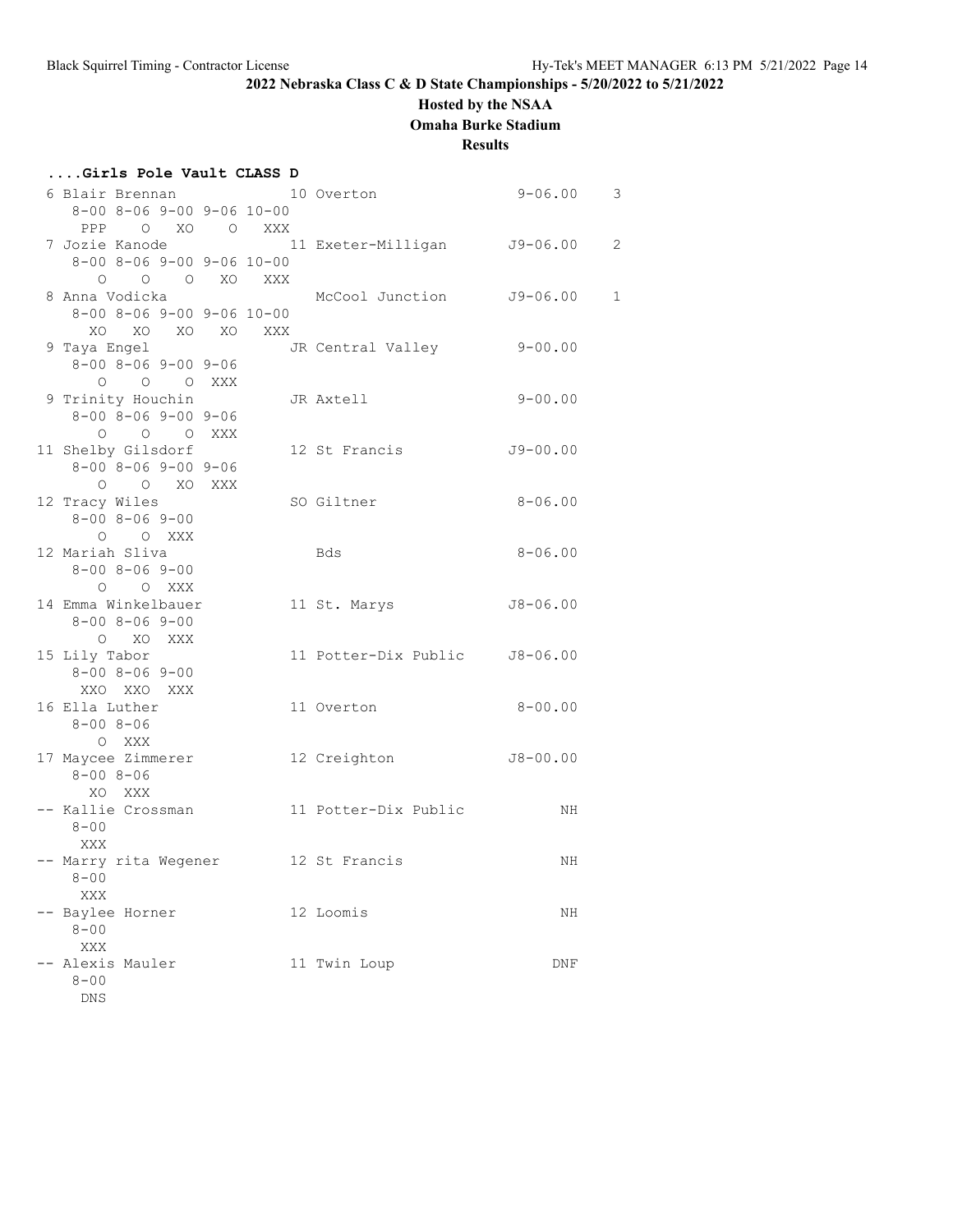## **Hosted by the NSAA**

**Omaha Burke Stadium**

### **Results**

| Girls Pole Vault CLASS D |                                               |  |  |                               |               |                |  |  |  |  |
|--------------------------|-----------------------------------------------|--|--|-------------------------------|---------------|----------------|--|--|--|--|
|                          | 6 Blair Brennan                               |  |  | 10 Overton                    | $9 - 06.00$ 3 |                |  |  |  |  |
|                          | $8-00$ $8-06$ $9-00$ $9-06$ $10-00$           |  |  |                               |               |                |  |  |  |  |
|                          | PPP O XO O XXX                                |  |  |                               |               |                |  |  |  |  |
|                          | 7 Jozie Kanode                                |  |  | 11 Exeter-Milligan J9-06.00   |               | $\overline{c}$ |  |  |  |  |
|                          | $8-00$ $8-06$ $9-00$ $9-06$ $10-00$           |  |  |                               |               |                |  |  |  |  |
|                          | O O O XO XXX                                  |  |  |                               |               |                |  |  |  |  |
|                          | 8 Anna Vodicka                                |  |  | McCool Junction J9-06.00      |               | $\mathbf{1}$   |  |  |  |  |
|                          | $8 - 00$ $8 - 06$ $9 - 00$ $9 - 06$ $10 - 00$ |  |  |                               |               |                |  |  |  |  |
|                          | XO XO XO XO XXX                               |  |  |                               |               |                |  |  |  |  |
|                          | 9 Taya Engel                                  |  |  | JR Central Valley             | $9 - 00.00$   |                |  |  |  |  |
|                          | $8 - 00$ $8 - 06$ $9 - 00$ $9 - 06$           |  |  |                               |               |                |  |  |  |  |
|                          | O O O XXX                                     |  |  |                               |               |                |  |  |  |  |
|                          | 9 Trinity Houchin                             |  |  | JR Axtell                     | $9 - 00.00$   |                |  |  |  |  |
|                          | $8 - 00$ $8 - 06$ $9 - 00$ $9 - 06$           |  |  |                               |               |                |  |  |  |  |
|                          | O O O XXX                                     |  |  |                               |               |                |  |  |  |  |
|                          | 11 Shelby Gilsdorf                            |  |  | 12 St Francis                 | $J9 - 00.00$  |                |  |  |  |  |
|                          | $8 - 00$ $8 - 06$ $9 - 00$ $9 - 06$           |  |  |                               |               |                |  |  |  |  |
|                          | O O XO XXX                                    |  |  |                               |               |                |  |  |  |  |
|                          | 12 Tracy Wiles                                |  |  | SO Giltner                    | $8 - 06.00$   |                |  |  |  |  |
|                          | $8 - 00$ $8 - 06$ $9 - 00$                    |  |  |                               |               |                |  |  |  |  |
|                          | O O XXX                                       |  |  |                               |               |                |  |  |  |  |
|                          | 12 Mariah Sliva                               |  |  | Bds                           | $8 - 06.00$   |                |  |  |  |  |
|                          | $8 - 00$ $8 - 06$ $9 - 00$                    |  |  |                               |               |                |  |  |  |  |
|                          | O O XXX                                       |  |  |                               |               |                |  |  |  |  |
|                          | 14 Emma Winkelbauer                           |  |  | 11 St. Marys                  | $J8 - 06.00$  |                |  |  |  |  |
|                          | $8 - 00$ $8 - 06$ $9 - 00$                    |  |  |                               |               |                |  |  |  |  |
|                          | O XO XXX                                      |  |  |                               |               |                |  |  |  |  |
|                          | 15 Lily Tabor                                 |  |  | 11 Potter-Dix Public J8-06.00 |               |                |  |  |  |  |
|                          | $8 - 00$ $8 - 06$ $9 - 00$                    |  |  |                               |               |                |  |  |  |  |
|                          | XXO XXO XXX                                   |  |  |                               |               |                |  |  |  |  |
|                          | 16 Ella Luther                                |  |  | 11 Overton                    | $8 - 00.00$   |                |  |  |  |  |
|                          | $8 - 008 - 06$                                |  |  |                               |               |                |  |  |  |  |
|                          | O XXX                                         |  |  |                               |               |                |  |  |  |  |
|                          | 17 Maycee Zimmerer                            |  |  | 12 Creighton                  | J8-00.00      |                |  |  |  |  |
|                          | $8 - 008 - 06$                                |  |  |                               |               |                |  |  |  |  |
|                          | XO XXX                                        |  |  |                               |               |                |  |  |  |  |
|                          |                                               |  |  |                               | NH            |                |  |  |  |  |
|                          | $8 - 00$                                      |  |  |                               |               |                |  |  |  |  |
|                          | XXX                                           |  |  |                               |               |                |  |  |  |  |
|                          | Marry rita Wegener                            |  |  | 12 St Francis                 | ΝH            |                |  |  |  |  |
|                          | $8 - 00$<br>XXX                               |  |  |                               |               |                |  |  |  |  |
|                          |                                               |  |  |                               |               |                |  |  |  |  |
|                          | -- Baylee Horner<br>$8 - 00$                  |  |  | 12 Loomis                     | ΝH            |                |  |  |  |  |
|                          | XXX                                           |  |  |                               |               |                |  |  |  |  |
|                          | Alexis Mauler                                 |  |  | 11 Twin Loup                  | DNF           |                |  |  |  |  |
|                          | $8 - 00$                                      |  |  |                               |               |                |  |  |  |  |
|                          | ${\tt DNS}$                                   |  |  |                               |               |                |  |  |  |  |
|                          |                                               |  |  |                               |               |                |  |  |  |  |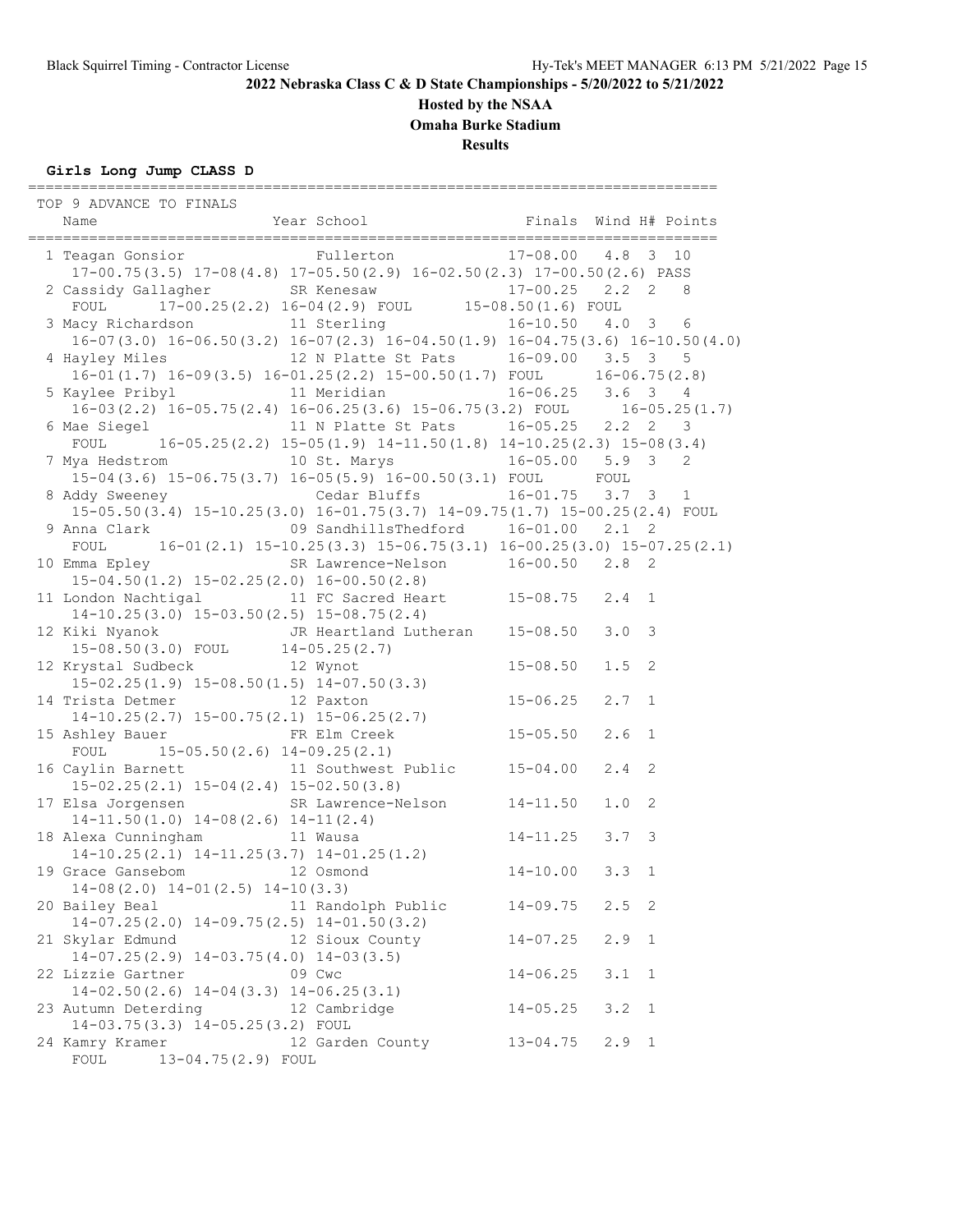## **Hosted by the NSAA**

**Omaha Burke Stadium**

**Results**

## **Girls Long Jump CLASS D**

| TOP 9 ADVANCE TO FINALS                                                                                                                |                    |                    |               |              |
|----------------------------------------------------------------------------------------------------------------------------------------|--------------------|--------------------|---------------|--------------|
|                                                                                                                                        |                    |                    |               |              |
|                                                                                                                                        |                    |                    |               |              |
| 1 Teagan Gonsior Fullerton 17-08.00 4.8 3 10                                                                                           |                    |                    |               |              |
| $17-00.75(3.5)$ $17-08(4.8)$ $17-05.50(2.9)$ $16-02.50(2.3)$ $17-00.50(2.6)$ PASS                                                      |                    |                    |               |              |
| 2 Cassidy Gallagher SR Kenesaw 17-00.25 2.2 2 8<br>FOUL 17-00.25 (2.2) 16-04 (2.9) FOUL 15-08.50 (1.6) FOUL                            |                    |                    |               |              |
|                                                                                                                                        |                    |                    |               |              |
| 3 Macy Richardson 11 Sterling 16-10.50 4.0 3 6                                                                                         |                    |                    |               |              |
| $16-07(3.0)$ $16-06.50(3.2)$ $16-07(2.3)$ $16-04.50(1.9)$ $16-04.75(3.6)$ $16-10.50(4.0)$                                              |                    |                    |               |              |
| 4 Hayley Miles 12 N Platte St Pats 16-09.00 3.5 3 5                                                                                    |                    |                    |               |              |
| 16-01(1.7) $16-09(3.5)$ $16-01.25(2.2)$ $15-00.50(1.7)$ FOUL $16-06.75(2.8)$                                                           |                    |                    |               |              |
| 5 Kaylee Pribyl 11 Meridian 16-06.25 3.6 3 4<br>16-03(2.2) 16-05.75(2.4) 16-06.25(3.6) 15-06.75(3.2) FOUL 16-05.25(1.7)                |                    |                    |               |              |
|                                                                                                                                        |                    |                    |               |              |
| 6 Mae Siegel 11 N Platte St Pats 16-05.25 2.2 2 3                                                                                      |                    |                    |               |              |
| FOUL $16-05.25(2.2) 15-05(1.9) 14-11.50(1.8) 14-10.25(2.3) 15-08(3.4)$                                                                 |                    |                    |               |              |
| 7 Mya Hedstrom 10 St. Marys 16-05.00 5.9 3 2                                                                                           |                    |                    |               |              |
| 15-04(3.6) 15-06.75(3.7) 16-05(5.9) 16-00.50(3.1) FOUL FOUL                                                                            |                    |                    |               |              |
| 8 Addy Sweeney Cedar Bluffs 16-01.75 3.7 3 1                                                                                           |                    |                    |               |              |
| $15-05.50(3.4)$ $15-10.25(3.0)$ $16-01.75(3.7)$ $14-09.75(1.7)$ $15-00.25(2.4)$ FOUL                                                   |                    |                    |               |              |
|                                                                                                                                        |                    |                    |               |              |
| FOUL $16-01(2.1) 15-10.25(3.3) 15-06.75(3.1) 16-00.25(3.0) 15-07.25(2.1)$                                                              |                    |                    |               |              |
| 10 Emma Epley SR Lawrence-Nelson 16-00.50 2.8 2                                                                                        |                    |                    |               |              |
| $15-04.50(1.2)$ $15-02.25(2.0)$ $16-00.50(2.8)$                                                                                        |                    |                    |               |              |
| 11 London Nachtigal 11 FC Sacred Heart 15-08.75 2.4 1                                                                                  |                    |                    |               |              |
| $14-10.25(3.0)$ $15-03.50(2.5)$ $15-08.75(2.4)$                                                                                        |                    |                    |               |              |
| 12 Kiki Nyanok JR Heartland Lutheran 15-08.50                                                                                          |                    |                    | 3.0           | 3            |
| $15-08.50(3.0)$ FOUL $14-05.25(2.7)$                                                                                                   |                    |                    |               |              |
| 12 Krystal Sudbeck 12 Wynot                                                                                                            |                    | $15 - 08.50$       | 1.5           | 2            |
| $15-02.25(1.9)$ $15-08.50(1.5)$ $14-07.50(3.3)$                                                                                        |                    |                    |               |              |
| 14 Trista Detmer<br>14-10.25(2.7) 15-00.75(2.1) 15-06.25(2.7)<br>16-06.25(2.7)                                                         |                    |                    |               |              |
| $14-10.25(2.7)$ $15-00.75(2.1)$ $15-06.25(2.7)$<br>11 10.2012.7, 10 00.7012.11, 10 00.2012.7,<br>I5 Ashley Bauer FR Elm Creek 15-05.50 |                    |                    |               |              |
|                                                                                                                                        |                    |                    | 2.6           | $\mathbf{1}$ |
| FOUL $15-05.50(2.6) 14-09.25(2.1)$                                                                                                     |                    |                    |               |              |
| 16 Caylin Barnett 11 Southwest Public 15-04.00                                                                                         |                    |                    | 2.4           | 2            |
| $15-02.25(2.1)$ $15-04(2.4)$ $15-02.50(3.8)$                                                                                           |                    |                    |               |              |
| 17 Elsa Jorgensen SR Lawrence-Nelson 14-11.50                                                                                          |                    |                    | 1.0           | 2            |
| $14-11.50(1.0)$ $14-08(2.6)$ $14-11(2.4)$                                                                                              |                    |                    |               |              |
| 18 Alexa Cunningham 11 Wausa                                                                                                           |                    | $14 - 11.25$ 3.7 3 |               |              |
| 14-10.25(2.1) $14-11.25(3.7)$ $14-01.25(1.2)$<br>Frace Gansebom 12 Osmond                                                              |                    |                    |               |              |
| 19 Grace Gansebom 12 Osmond                                                                                                            |                    | $14 - 10.00$       | 3.3           | $\mathbf{1}$ |
| $14-08(2.0)$ $14-01(2.5)$ $14-10(3.3)$                                                                                                 |                    |                    |               |              |
| 20 Bailey Beal                                                                                                                         | 11 Randolph Public | $14 - 09.75$       | $2.5 \quad 2$ |              |
| $14-07.25(2.0)$ $14-09.75(2.5)$ $14-01.50(3.2)$                                                                                        |                    |                    |               |              |
| 21 Skylar Edmund                                                                                                                       | 12 Sioux County    | $14 - 07.25$       | 2.9           | 1            |
| $14-07.25(2.9)$ $14-03.75(4.0)$ $14-03(3.5)$                                                                                           |                    |                    |               |              |
| 22 Lizzie Gartner                                                                                                                      | 09 Cwc             | $14 - 06.25$       | 3.1           | 1            |
| $14-02.50(2.6)$ $14-04(3.3)$ $14-06.25(3.1)$                                                                                           |                    |                    |               |              |
| 23 Autumn Deterding                                                                                                                    | 12 Cambridge       | $14 - 05.25$       | 3.2           | 1            |
| 14-03.75(3.3) 14-05.25(3.2) FOUL                                                                                                       |                    |                    |               |              |
| 24 Kamry Kramer                                                                                                                        | 12 Garden County   | $13 - 04.75$       | $2.9$ 1       |              |
| FOUL<br>13-04.75(2.9) FOUL                                                                                                             |                    |                    |               |              |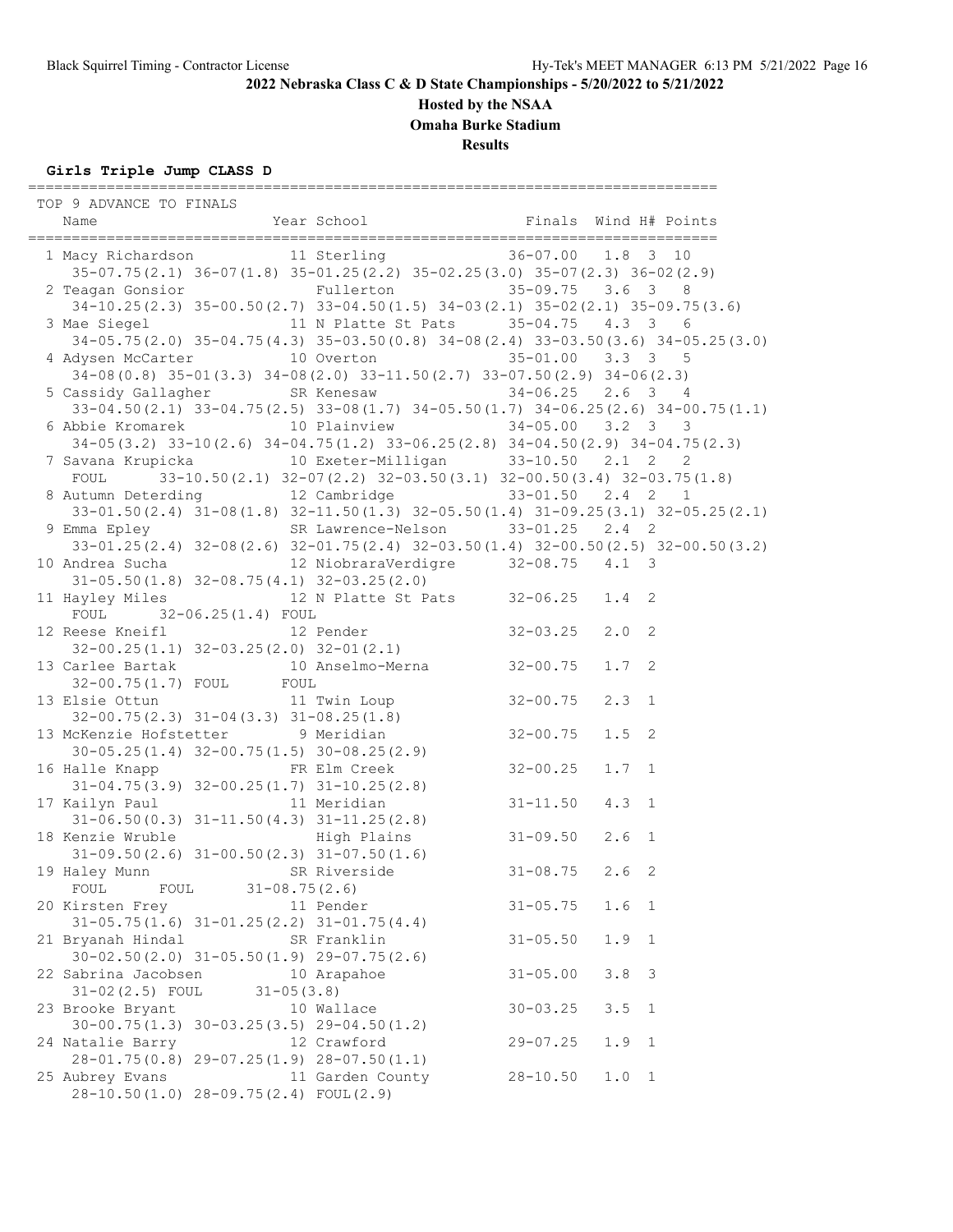#### **Hosted by the NSAA**

**Omaha Burke Stadium**

**Results**

**Girls Triple Jump CLASS D** =============================================================================== TOP 9 ADVANCE TO FINALS Name The Year School Team and H# Points =============================================================================== 1 Macy Richardson 11 Sterling 36-07.00 1.8 3 10 35-07.75(2.1) 36-07(1.8) 35-01.25(2.2) 35-02.25(3.0) 35-07(2.3) 36-02(2.9) 2 Teagan Gonsior Fullerton 35-09.75 3.6 3 8 34-10.25(2.3) 35-00.50(2.7) 33-04.50(1.5) 34-03(2.1) 35-02(2.1) 35-09.75(3.6) 3 Mae Siegel 11 N Platte St Pats 35-04.75 4.3 3 6 34-05.75(2.0) 35-04.75(4.3) 35-03.50(0.8) 34-08(2.4) 33-03.50(3.6) 34-05.25(3.0) 4 Adysen McCarter 10 Overton 35-01.00 3.3 3 5 34-08(0.8) 35-01(3.3) 34-08(2.0) 33-11.50(2.7) 33-07.50(2.9) 34-06(2.3) 5 Cassidy Gallagher SR Kenesaw 34-06.25 2.6 3 4 33-04.50(2.1) 33-04.75(2.5) 33-08(1.7) 34-05.50(1.7) 34-06.25(2.6) 34-00.75(1.1) 6 Abbie Kromarek 10 Plainview 34-05.00 3.2 3 3 34-05(3.2) 33-10(2.6) 34-04.75(1.2) 33-06.25(2.8) 34-04.50(2.9) 34-04.75(2.3) 7 Savana Krupicka 10 Exeter-Milligan 33-10.50 2.1 2 2 FOUL 33-10.50(2.1) 32-07(2.2) 32-03.50(3.1) 32-00.50(3.4) 32-03.75(1.8) 8 Autumn Deterding 12 Cambridge 33-01.50 2.4 2 1 33-01.50(2.4) 31-08(1.8) 32-11.50(1.3) 32-05.50(1.4) 31-09.25(3.1) 32-05.25(2.1) 9 Emma Epley SR Lawrence-Nelson 33-01.25 2.4 2 33-01.25(2.4) 32-08(2.6) 32-01.75(2.4) 32-03.50(1.4) 32-00.50(2.5) 32-00.50(3.2) 10 Andrea Sucha 12 NiobraraVerdigre 32-08.75 4.1 3 31-05.50(1.8) 32-08.75(4.1) 32-03.25(2.0) 11 Hayley Miles 12 N Platte St Pats 32-06.25 1.4 2 FOUL 32-06.25(1.4) FOUL 12 Reese Kneifl 12 Pender 32-03.25 2.0 2 32-00.25(1.1) 32-03.25(2.0) 32-01(2.1) 13 Carlee Bartak 10 Anselmo-Merna 32-00.75 1.7 2 32-00.75(1.7) FOUL FOUL 13 Elsie Ottun 11 Twin Loup 32-00.75 2.3 1 32-00.75(2.3) 31-04(3.3) 31-08.25(1.8) 13 McKenzie Hofstetter 9 Meridian 32-00.75 1.5 2 30-05.25(1.4) 32-00.75(1.5) 30-08.25(2.9) 16 Halle Knapp FR Elm Creek 32-00.25 1.7 1 31-04.75(3.9) 32-00.25(1.7) 31-10.25(2.8) 17 Kailyn Paul 11 Meridian 31-11.50 4.3 1 31-06.50(0.3) 31-11.50(4.3) 31-11.25(2.8) 18 Kenzie Wruble High Plains 31-09.50 2.6 1 31-09.50(2.6) 31-00.50(2.3) 31-07.50(1.6) 19 Haley Munn SR Riverside 31-08.75 2.6 2 FOUL FOUL 31-08.75(2.6) 20 Kirsten Frey 11 Pender 31-05.75 1.6 1 31-05.75(1.6) 31-01.25(2.2) 31-01.75(4.4) 21 Bryanah Hindal SR Franklin 31-05.50 1.9 1 30-02.50(2.0) 31-05.50(1.9) 29-07.75(2.6) 22 Sabrina Jacobsen 10 Arapahoe 31-05.00 3.8 3<br>31-02(2.5) FOUL 31-05(3.8) 31-02(2.5) FOUL 31-05(3.8) 23 Brooke Bryant 10 Wallace 30-03.25 3.5 1 30-00.75(1.3) 30-03.25(3.5) 29-04.50(1.2) 24 Natalie Barry 12 Crawford 29-07.25 1.9 1 28-01.75(0.8) 29-07.25(1.9) 28-07.50(1.1) 25 01.75(0.0) 25 07.25(1.3) 26 07.36(1.1)<br>25 Aubrey Evans 11 Garden County 28-10.50 1.0 1

28-10.50(1.0) 28-09.75(2.4) FOUL(2.9)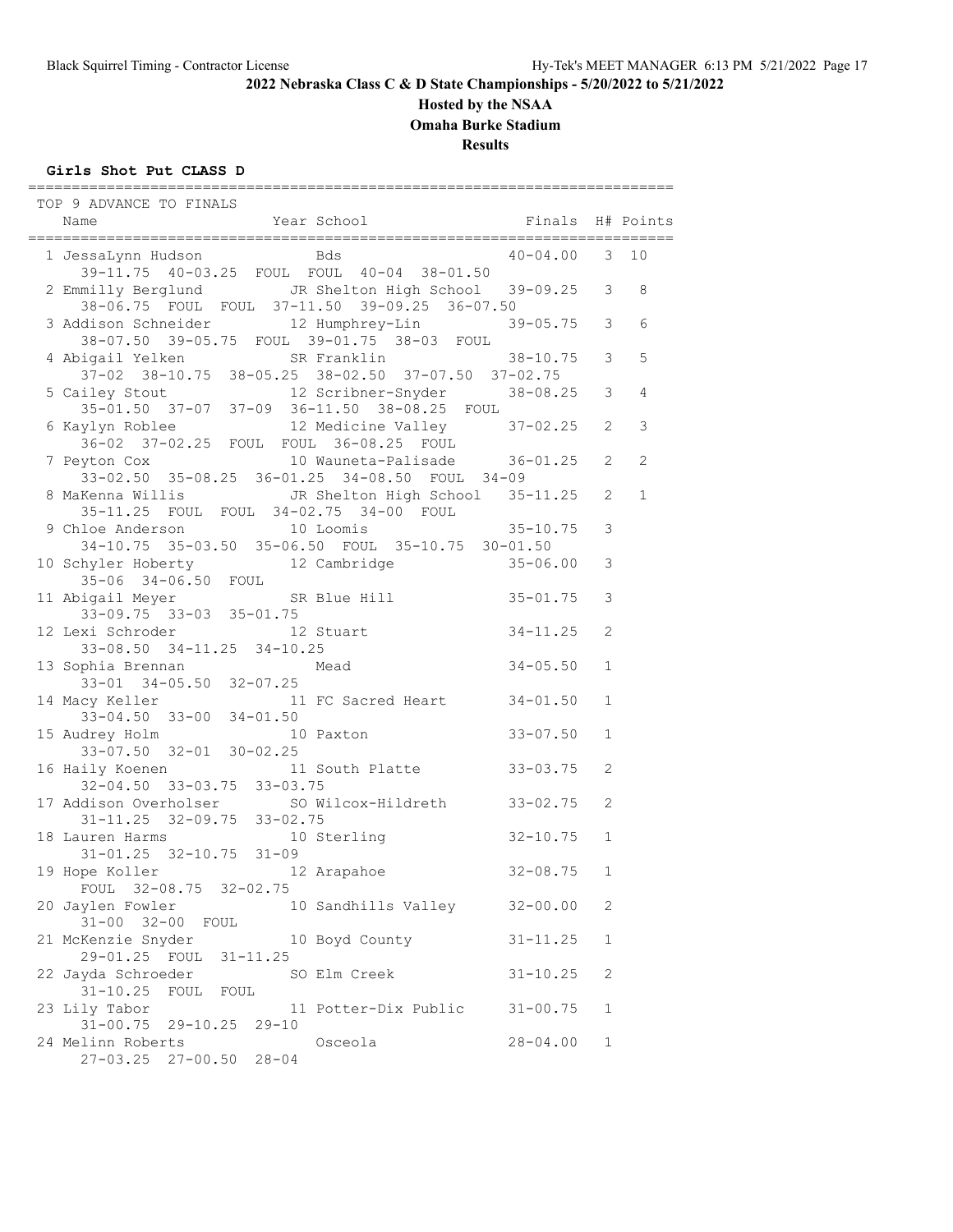## **Hosted by the NSAA**

**Omaha Burke Stadium**

**Results**

## **Girls Shot Put CLASS D**

| TOP 9 ADVANCE TO FINALS<br>Year School<br>Name                                                                                                                                                                                                            | Finals H# Points                         |              |                |
|-----------------------------------------------------------------------------------------------------------------------------------------------------------------------------------------------------------------------------------------------------------|------------------------------------------|--------------|----------------|
| <b>Eds</b> Books and the Books of the Books and the Books of the Books and the Books are the Books and the Books and the Books and the Books and the Books and the Books and the Books and the Books and the Books and the Books an<br>1 JessaLynn Hudson | ======================<br>$40 - 04.00$ 3 |              | 10             |
| 39-11.75 40-03.25 FOUL FOUL 40-04 38-01.50                                                                                                                                                                                                                |                                          |              |                |
|                                                                                                                                                                                                                                                           |                                          |              | 8              |
| 2 Emmilly Berglund JR Shelton High School 39-09.25 3<br>38-06.75 FOUL FOUL 37-11.50 39-09.25 36-07.50                                                                                                                                                     |                                          |              |                |
| 3 Addison Schneider 12 Humphrey-Lin                                                                                                                                                                                                                       | $39 - 05.75$ 3                           |              | 6              |
| 38-07.50 39-05.75 FOUL 39-01.75 38-03 FOUL                                                                                                                                                                                                                |                                          |              |                |
| 4 Abigail Yelken SR Franklin                                                                                                                                                                                                                              | $38 - 10.75$ 3                           |              | 5              |
| 37-02 38-10.75 38-05.25 38-02.50 37-07.50 37-02.75                                                                                                                                                                                                        |                                          |              | $\overline{4}$ |
| 5 Cailey Stout 12 Scribner-Snyder 38-08.25 3<br>35-01.50 37-07 37-09 36-11.50 38-08.25 FOUL<br>6 Kaylyn Roblee 12 Medicine Valley 37-02.25 2<br>36-02 37-02.25 FOUL FOUL 36-08.25 FOUL                                                                    |                                          |              |                |
|                                                                                                                                                                                                                                                           |                                          |              | $\mathcal{E}$  |
|                                                                                                                                                                                                                                                           |                                          |              |                |
| 7 Peyton Cox 10 Wauneta-Palisade 36-01.25                                                                                                                                                                                                                 |                                          | 2            | 2              |
| 33-02.50 35-08.25 36-01.25 34-08.50 FOUL 34-09                                                                                                                                                                                                            |                                          |              |                |
|                                                                                                                                                                                                                                                           |                                          | 2            | $\mathbf 1$    |
| 8 MaKenna Willis JR Shelton High School 35-11.25<br>35-11.25 FOUL FOUL 34-02.75 34-00 FOUL                                                                                                                                                                |                                          |              |                |
| 9 Chloe Anderson 10 Loomis                                                                                                                                                                                                                                | $35 - 10.75$                             | 3            |                |
| 34-10.75 35-03.50 35-06.50 FOUL 35-10.75 30-01.50                                                                                                                                                                                                         |                                          |              |                |
| 10 Schyler Hoberty 12 Cambridge 35-06.00                                                                                                                                                                                                                  |                                          | 3            |                |
| $35-06$ $34-06.50$ FOUL                                                                                                                                                                                                                                   |                                          |              |                |
| SR Blue Hill<br>11 Abigail Meyer SR<br>33-09.75 33-03 35-01.75                                                                                                                                                                                            | $35 - 01.75$                             | 3            |                |
|                                                                                                                                                                                                                                                           |                                          |              |                |
| 12 Lexi Schroder<br>12 Stuart                                                                                                                                                                                                                             | $34 - 11.25$                             | 2            |                |
| 33-08.50 34-11.25 34-10.25                                                                                                                                                                                                                                | $34 - 05.50$                             | $\mathbf 1$  |                |
| 13 Sophia Brennan Mead<br>33-01 34-05.50 32-07.25                                                                                                                                                                                                         |                                          |              |                |
|                                                                                                                                                                                                                                                           | $34 - 01.50$                             | $\mathbf{1}$ |                |
| 14 Macy Keller 11 FC Sacred Heart<br>33-04.50 33-00 34-01.50                                                                                                                                                                                              |                                          |              |                |
|                                                                                                                                                                                                                                                           | $33 - 07.50$                             | $\mathbf 1$  |                |
| 15 Audrey Holm 10 Paxton<br>33-07.50 32-01 30-02.25                                                                                                                                                                                                       |                                          |              |                |
| 11 South Platte 33-03.75<br>16 Haily Koenen                                                                                                                                                                                                               |                                          | 2            |                |
| $32-04.50$ $33-03.75$ $33-03.75$                                                                                                                                                                                                                          |                                          |              |                |
|                                                                                                                                                                                                                                                           |                                          | 2            |                |
| 17 Addison Overholser 50 Wilcox-Hildreth 33-02.75<br>31-11.25 32-09.75 33-02.75<br>18 Lauren Harms 10 Sterling 32-10.75                                                                                                                                   |                                          |              |                |
| 18 Lauren Harms<br>10 Sterling                                                                                                                                                                                                                            | $32 - 10.75$                             | 1            |                |
| $31 - 01.25$ $32 - 10.75$ $31 - 09$                                                                                                                                                                                                                       |                                          |              |                |
| 19 Hope Koller 12 Arapahoe                                                                                                                                                                                                                                | $32 - 08.75$                             | 1            |                |
| FOUL 32-08.75 32-02.75<br>20 Jaylen Fowler<br>10 Sandhills Valley 32-00.00                                                                                                                                                                                |                                          | 2            |                |
| 31-00 32-00 FOUL                                                                                                                                                                                                                                          |                                          |              |                |
| 21 McKenzie Snyder<br>10 Boyd County                                                                                                                                                                                                                      | $31 - 11.25$                             | 1            |                |
| 29-01.25 FOUL 31-11.25                                                                                                                                                                                                                                    |                                          |              |                |
| 22 Jayda Schroeder<br>SO Elm Creek                                                                                                                                                                                                                        | $31 - 10.25$                             | 2            |                |
| FOUL FOUL<br>$31 - 10.25$                                                                                                                                                                                                                                 |                                          |              |                |
| 23 Lily Tabor<br>11 Potter-Dix Public                                                                                                                                                                                                                     | $31 - 00.75$                             | 1            |                |
| 31-00.75 29-10.25 29-10                                                                                                                                                                                                                                   |                                          |              |                |
| 24 Melinn Roberts<br>Osceola                                                                                                                                                                                                                              | $28 - 04.00$                             | 1            |                |
| 27-03.25 27-00.50 28-04                                                                                                                                                                                                                                   |                                          |              |                |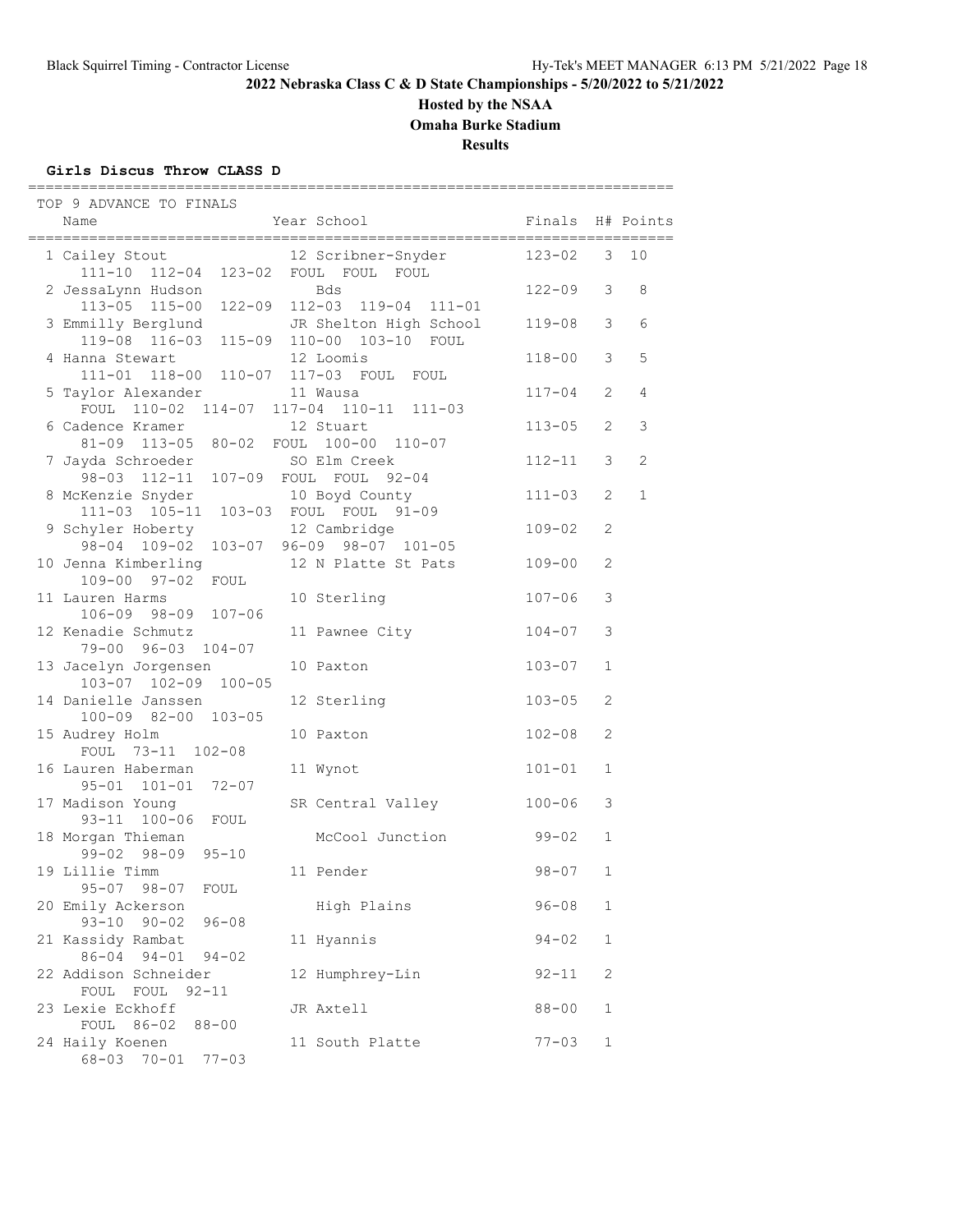## **Hosted by the NSAA**

**Omaha Burke Stadium**

**Results**

## **Girls Discus Throw CLASS D**

| TOP 9 ADVANCE TO FINALS<br>Name                                                                        | Year School                                                                        | Finals     |               | H# Points      |
|--------------------------------------------------------------------------------------------------------|------------------------------------------------------------------------------------|------------|---------------|----------------|
|                                                                                                        |                                                                                    |            | :=======      |                |
| 1 Cailey Stout<br>111-10 112-04 123-02 FOUL FOUL FOUL                                                  | 12 Scribner-Snyder                                                                 | 123-02     | 3             | 10             |
| 2 JessaLynn Hudson                                                                                     | Bds                                                                                | $122 - 09$ | 3             | 8              |
| $113 - 05$ $115 - 00$<br>3 Emmilly Berglund<br>119-08 116-03                                           | 122-09 112-03 119-04 111-01<br>JR Shelton High School<br>115-09 110-00 103-10 FOUL | $119 - 08$ | 3             | 6              |
| 4 Hanna Stewart                                                                                        | 12 Loomis                                                                          | $118 - 00$ | 3             | 5              |
| 111-01 118-00 110-07 117-03 FOUL FOUL<br>5 Taylor Alexander<br>FOUL 110-02 114-07 117-04 110-11 111-03 | 11 Wausa                                                                           | $117 - 04$ | 2             | $\overline{4}$ |
| 6 Cadence Kramer<br>81-09 113-05 80-02 FOUL 100-00 110-07                                              | 12 Stuart                                                                          | $113 - 05$ | 2             | 3              |
| 7 Jayda Schroeder<br>98-03 112-11 107-09 FOUL FOUL 92-04                                               | SO Elm Creek                                                                       | 112-11     | 3             | $\overline{c}$ |
| 8 McKenzie Snyder<br>111-03 105-11 103-03 FOUL FOUL 91-09                                              | 10 Boyd County                                                                     | $111 - 03$ | 2             | $\mathbf 1$    |
| 9 Schyler Hoberty<br>98-04 109-02 103-07 96-09 98-07 101-05                                            | 12 Cambridge                                                                       | $109 - 02$ | 2             |                |
| 10 Jenna Kimberling<br>109-00 97-02 FOUL                                                               | 12 N Platte St Pats                                                                | $109 - 00$ | 2             |                |
| 11 Lauren Harms<br>106-09 98-09 107-06                                                                 | 10 Sterling                                                                        | $107 - 06$ | $\mathcal{E}$ |                |
| 12 Kenadie Schmutz<br>79-00 96-03 104-07                                                               | 11 Pawnee City                                                                     | $104 - 07$ | 3             |                |
| 13 Jacelyn Jorgensen<br>103-07 102-09 100-05                                                           | 10 Paxton                                                                          | $103 - 07$ | $\mathbf{1}$  |                |
| 14 Danielle Janssen<br>100-09 82-00 103-05                                                             | 12 Sterling                                                                        | $103 - 05$ | 2             |                |
| 15 Audrey Holm<br>FOUL 73-11 102-08                                                                    | 10 Paxton                                                                          | $102 - 08$ | 2             |                |
| 16 Lauren Haberman<br>95-01 101-01 72-07                                                               | 11 Wynot                                                                           | $101 - 01$ | $\mathbf{1}$  |                |
| 17 Madison Young<br>93-11 100-06 FOUL                                                                  | SR Central Valley                                                                  | $100 - 06$ | 3             |                |
| 18 Morgan Thieman<br>$99 - 02$ $98 - 09$<br>$95 - 10$                                                  | McCool Junction                                                                    | 99-02      | $\mathbf 1$   |                |
| 19 Lillie Timm<br>$95 - 07$ $98 - 07$<br>FOUL                                                          | 11 Pender                                                                          | $98 - 07$  | 1             |                |
| 20 Emily Ackerson<br>$93 - 10$ $90 - 02$<br>$96 - 08$                                                  | High Plains                                                                        | $96 - 08$  | $\mathbf 1$   |                |
| 21 Kassidy Rambat<br>86-04 94-01 94-02                                                                 | 11 Hyannis                                                                         | $94 - 02$  | $\mathbf 1$   |                |
| 22 Addison Schneider                                                                                   | 12 Humphrey-Lin                                                                    | $92 - 11$  | 2             |                |
| FOUL FOUL 92-11<br>23 Lexie Eckhoff                                                                    | JR Axtell                                                                          | $88 - 00$  | $\mathbf 1$   |                |
| FOUL 86-02 88-00<br>24 Haily Koenen<br>68-03 70-01<br>$77 - 03$                                        | 11 South Platte                                                                    | $77 - 03$  | $\mathbf 1$   |                |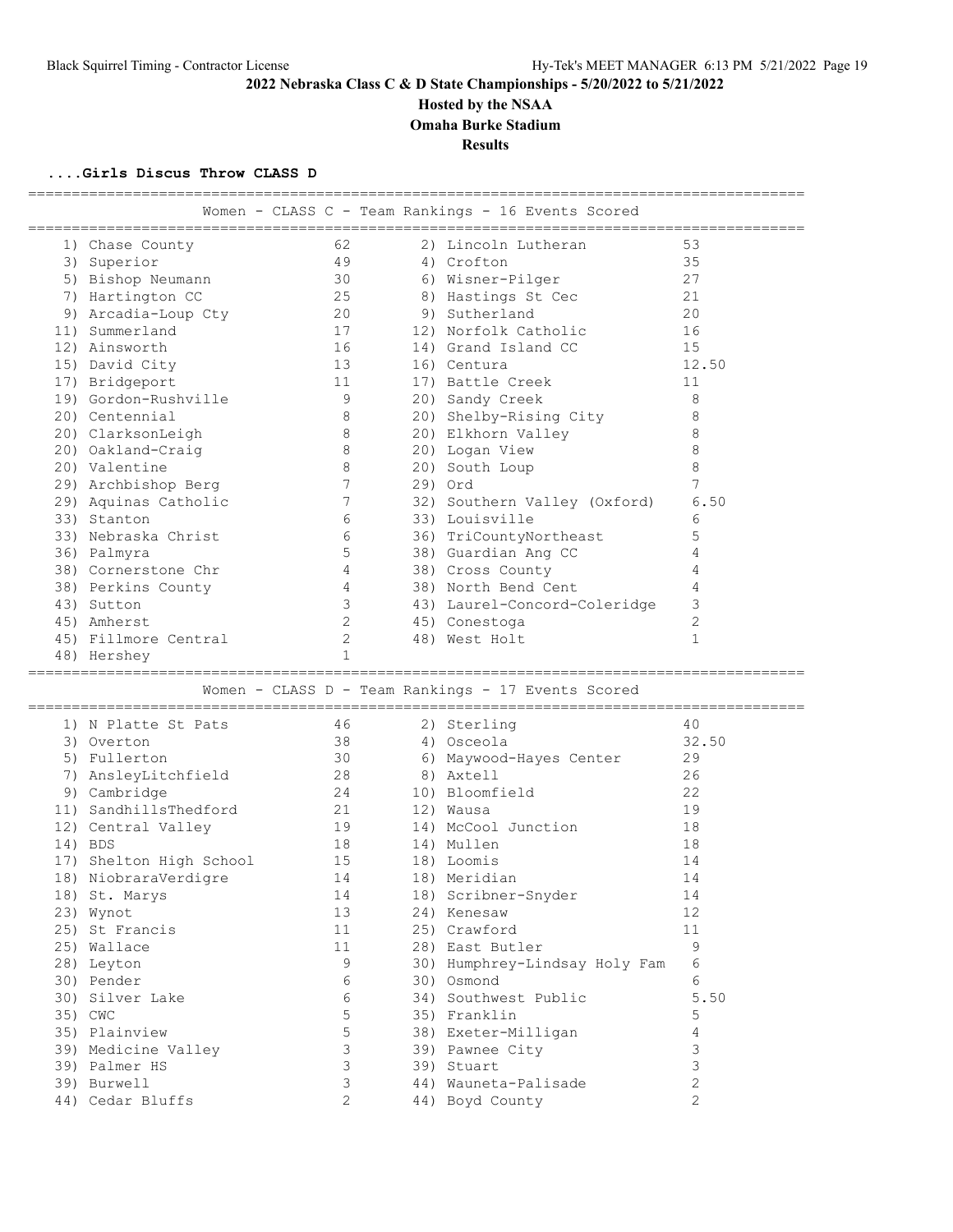## **Hosted by the NSAA**

**Omaha Burke Stadium**

**Results**

=========================================================================================

#### **....Girls Discus Throw CLASS D**

|                         |                |    | Women - CLASS C - Team Rankings - 16 Events Scored |                |
|-------------------------|----------------|----|----------------------------------------------------|----------------|
| 1) Chase County         | 62             |    | 2) Lincoln Lutheran                                | 53             |
| 3) Superior             | 49             |    | 4) Crofton                                         | 35             |
| 5) Bishop Neumann       | 30             |    | 6) Wisner-Pilger                                   | 27             |
| 7) Hartington CC        | 25             |    | 8) Hastings St Cec                                 | 21             |
| 9) Arcadia-Loup Cty     | 20             |    | 9) Sutherland                                      | 20             |
| 11) Summerland          | 17             |    | 12) Norfolk Catholic                               | 16             |
| 12) Ainsworth           | 16             |    | 14) Grand Island CC                                | 15             |
| 15) David City          | 13             |    | 16) Centura                                        | 12.50          |
| 17) Bridgeport          | 11             |    | 17) Battle Creek                                   | 11             |
| 19) Gordon-Rushville    | - 9            |    | 20) Sandy Creek                                    | 8              |
| 20) Centennial          | 8              |    | 20) Shelby-Rising City                             | 8              |
| 20) ClarksonLeigh       | 8              |    | 20) Elkhorn Valley                                 | 8              |
| 20) Oakland-Craig       | 8              |    | 20) Logan View                                     | $\,8\,$        |
| 20) Valentine           | 8              |    | 20) South Loup                                     | 8              |
| 29) Archbishop Berg     | 7              |    | 29) Ord                                            | 7              |
| 29) Aquinas Catholic    | 7              |    | 32) Southern Valley (Oxford)                       | 6.50           |
| 33) Stanton             | 6              |    | 33) Louisville                                     | 6              |
| 33) Nebraska Christ     | 6              |    | 36) TriCountyNortheast                             | 5              |
| 36) Palmyra             | 5              |    | 38) Guardian Ang CC                                | 4              |
| 38) Cornerstone Chr     | 4              |    | 38) Cross County                                   | 4              |
| 38) Perkins County      | 4              |    | 38) North Bend Cent                                | 4              |
| 43) Sutton              | 3              |    | 43) Laurel-Concord-Coleridge                       | 3              |
| 45) Amherst             | $\mathbf{2}$   |    | 45) Conestoga                                      | $\overline{2}$ |
| 45) Fillmore Central    | 2              |    | 48) West Holt                                      | $\mathbf{1}$   |
| 48) Hershey             | $\mathbf{1}$   |    |                                                    |                |
|                         |                |    |                                                    |                |
|                         |                |    | Women - CLASS D - Team Rankings - 17 Events Scored |                |
| 1) N Platte St Pats     | 46             |    | 2) Sterling                                        | 40             |
| 3) Overton              | 38             |    | 4) Osceola                                         | 32.50          |
| 5) Fullerton            | 30             |    | 6) Maywood-Hayes Center                            | 29             |
| 7) AnsleyLitchfield     | 28             |    | 8) Axtell                                          | 26             |
| 9) Cambridge            | 24             |    | 10) Bloomfield                                     | 22             |
| 11) SandhillsThedford   | 21             |    | 12) Wausa                                          | 19             |
| 12) Central Valley      | 19             |    | 14) McCool Junction                                | 18             |
| 14) BDS                 | 18             |    | 14) Mullen                                         | 18             |
| 17) Shelton High School | 15             |    | 18) Loomis                                         | 14             |
| 18) NiobraraVerdigre    | 14             |    | 18) Meridian                                       | 14             |
| 18) St. Marys           |                | 14 | 18) Scribner-Snyder                                | 14             |
| 23) Wynot               | 13             |    | 24) Kenesaw                                        | 12             |
| 25) St Francis          | 11             |    | 25) Crawford                                       | 11             |
| 25) Wallace             | 11             |    | 28) East Butler                                    | $\mathcal{G}$  |
| 28) Leyton              | 9              |    | 30) Humphrey-Lindsay Holy Fam                      | 6              |
| 30) Pender              | 6              |    | 30) Osmond                                         | 6              |
| 30) Silver Lake         | 6              |    | 34) Southwest Public                               | 5.50           |
| 35) CWC                 | 5              |    | 35) Franklin                                       | 5              |
| 35) Plainview           | 5              |    | 38) Exeter-Milligan                                | 4              |
| 39) Medicine Valley     | 3              |    | 39) Pawnee City                                    | 3              |
| 39) Palmer HS           | $\mathfrak{Z}$ |    | 39) Stuart                                         | 3              |
| 39) Burwell             | 3              |    | 44) Wauneta-Palisade                               | 2              |
| 44) Cedar Bluffs        | $\overline{2}$ |    | 44) Boyd County                                    | $\overline{c}$ |